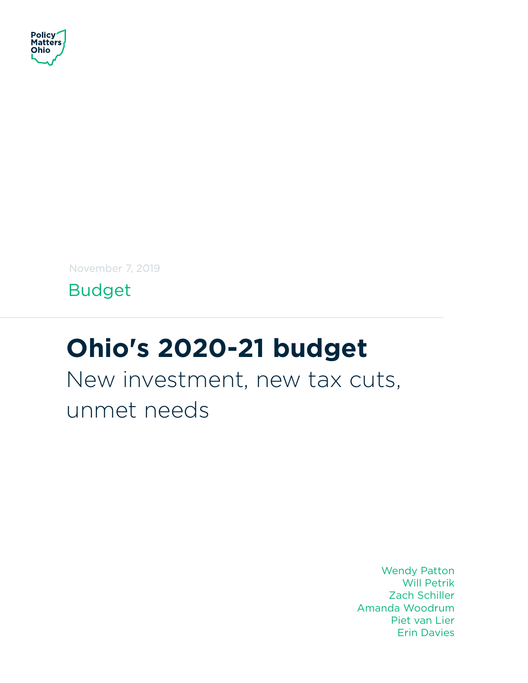

November 7, 2019

Budget

# **Ohio's 2020-21 budget**

New investment, new tax cuts, unmet needs

> Wendy Patton Will Petrik Zach Schiller Amanda Woodrum Piet van Lier Erin Davies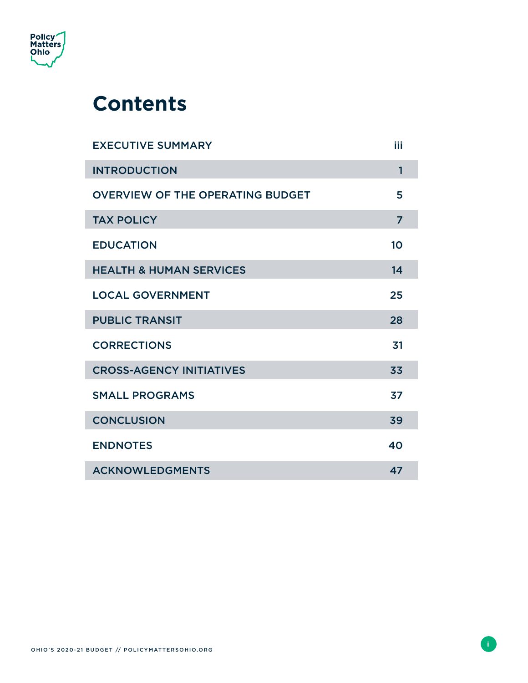

### **Contents**

| <b>EXECUTIVE SUMMARY</b>                | iii            |
|-----------------------------------------|----------------|
| <b>INTRODUCTION</b>                     | $\mathbf{1}$   |
| <b>OVERVIEW OF THE OPERATING BUDGET</b> | 5              |
| <b>TAX POLICY</b>                       | $\overline{7}$ |
| <b>EDUCATION</b>                        | 10             |
| <b>HEALTH &amp; HUMAN SERVICES</b>      | 14             |
| <b>LOCAL GOVERNMENT</b>                 | 25             |
| <b>PUBLIC TRANSIT</b>                   | 28             |
| <b>CORRECTIONS</b>                      | 31             |
| <b>CROSS-AGENCY INITIATIVES</b>         | 33             |
| <b>SMALL PROGRAMS</b>                   | 37             |
| <b>CONCLUSION</b>                       | 39             |
| <b>ENDNOTES</b>                         | 40             |
| <b>ACKNOWLEDGMENTS</b>                  | 47             |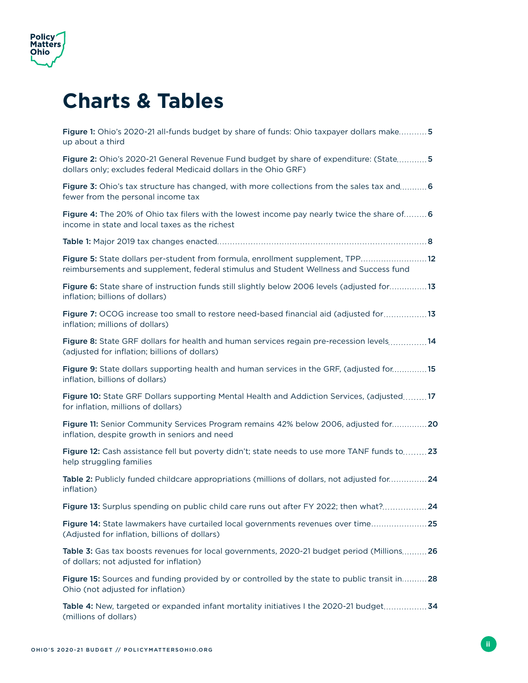

### **Charts & Tables**

| Figure 1: Ohio's 2020-21 all-funds budget by share of funds: Ohio taxpayer dollars make5<br>up about a third                                                            |
|-------------------------------------------------------------------------------------------------------------------------------------------------------------------------|
| Figure 2: Ohio's 2020-21 General Revenue Fund budget by share of expenditure: (State 5<br>dollars only; excludes federal Medicaid dollars in the Ohio GRF)              |
| Figure 3: Ohio's tax structure has changed, with more collections from the sales tax and 6<br>fewer from the personal income tax                                        |
| Figure 4: The 20% of Ohio tax filers with the lowest income pay nearly twice the share of 6<br>income in state and local taxes as the richest                           |
|                                                                                                                                                                         |
| Figure 5: State dollars per-student from formula, enrollment supplement, TPP12<br>reimbursements and supplement, federal stimulus and Student Wellness and Success fund |
| Figure 6: State share of instruction funds still slightly below 2006 levels (adjusted for13<br>inflation; billions of dollars)                                          |
| Figure 7: OCOG increase too small to restore need-based financial aid (adjusted for13<br>inflation; millions of dollars)                                                |
| Figure 8: State GRF dollars for health and human services regain pre-recession levels14<br>(adjusted for inflation; billions of dollars)                                |
| Figure 9: State dollars supporting health and human services in the GRF, (adjusted for15<br>inflation, billions of dollars)                                             |
| Figure 10: State GRF Dollars supporting Mental Health and Addiction Services, (adjusted17<br>for inflation, millions of dollars)                                        |
| Figure 11: Senior Community Services Program remains 42% below 2006, adjusted for20<br>inflation, despite growth in seniors and need                                    |
| Figure 12: Cash assistance fell but poverty didn't; state needs to use more TANF funds to23<br>help struggling families                                                 |
| Table 2: Publicly funded childcare appropriations (millions of dollars, not adjusted for24<br>inflation)                                                                |
| Figure 13: Surplus spending on public child care runs out after FY 2022; then what?24                                                                                   |
| Figure 14: State lawmakers have curtailed local governments revenues over time25<br>(Adjusted for inflation, billions of dollars)                                       |
| Table 3: Gas tax boosts revenues for local governments, 2020-21 budget period (Millions26<br>of dollars; not adjusted for inflation)                                    |
| Figure 15: Sources and funding provided by or controlled by the state to public transit in28<br>Ohio (not adjusted for inflation)                                       |
| Table 4: New, targeted or expanded infant mortality initiatives I the 2020-21 budget34<br>(millions of dollars)                                                         |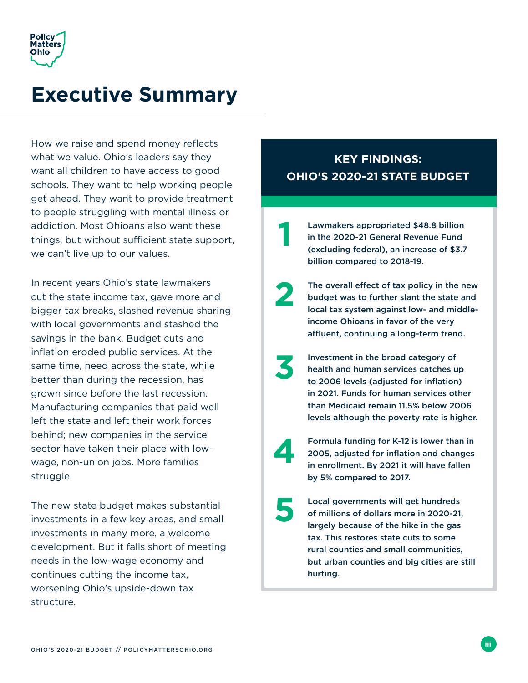<span id="page-3-0"></span>

### **Executive Summary**

How we raise and spend money reflects what we value. Ohio's leaders say they want all children to have access to good schools. They want to help working people get ahead. They want to provide treatment to people struggling with mental illness or addiction. Most Ohioans also want these things, but without sufficient state support, we can't live up to our values.

In recent years Ohio's state lawmakers cut the state income tax, gave more and bigger tax breaks, slashed revenue sharing with local governments and stashed the savings in the bank. Budget cuts and inflation eroded public services. At the same time, need across the state, while better than during the recession, has grown since before the last recession. Manufacturing companies that paid well left the state and left their work forces behind; new companies in the service sector have taken their place with lowwage, non-union jobs. More families struggle.

The new state budget makes substantial investments in a few key areas, and small investments in many more, a welcome development. But it falls short of meeting needs in the low-wage economy and continues cutting the income tax, worsening Ohio's upside-down tax structure.

### **KEY FINDINGS: OHIO'S 2020-21 STATE BUDGET**

Lawmakers appropriated \$48.8 billion in the 2020-21 General Revenue Fund (excluding federal), an increase of \$3.7 billion compared to 2018-19. **1**

The overall effect of tax policy in the new budget was to further slant the state and local tax system against low- and middleincome Ohioans in favor of the very affluent, continuing a long-term trend.

**2**

- Investment in the broad category of health and human services catches up to 2006 levels (adjusted for inflation) in 2021. Funds for human services other than Medicaid remain 11.5% below 2006 levels although the poverty rate is higher. **3**
- Formula funding for K-12 is lower than in 2005, adjusted for inflation and changes in enrollment. By 2021 it will have fallen by 5% compared to 2017. **4**
- Local governments will get hundreds of millions of dollars more in 2020-21, largely because of the hike in the gas tax. This restores state cuts to some rural counties and small communities, but urban counties and big cities are still hurting. **5**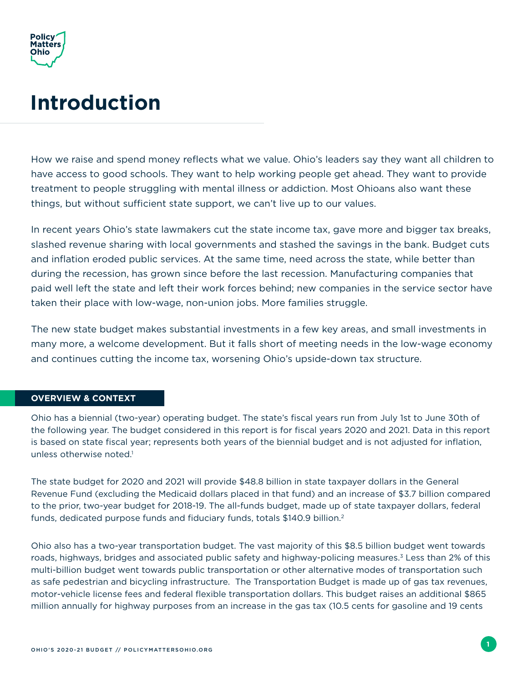<span id="page-4-0"></span>

## **Introduction**

How we raise and spend money reflects what we value. Ohio's leaders say they want all children to have access to good schools. They want to help working people get ahead. They want to provide treatment to people struggling with mental illness or addiction. Most Ohioans also want these things, but without sufficient state support, we can't live up to our values.

In recent years Ohio's state lawmakers cut the state income tax, gave more and bigger tax breaks, slashed revenue sharing with local governments and stashed the savings in the bank. Budget cuts and inflation eroded public services. At the same time, need across the state, while better than during the recession, has grown since before the last recession. Manufacturing companies that paid well left the state and left their work forces behind; new companies in the service sector have taken their place with low-wage, non-union jobs. More families struggle.

The new state budget makes substantial investments in a few key areas, and small investments in many more, a welcome development. But it falls short of meeting needs in the low-wage economy and continues cutting the income tax, worsening Ohio's upside-down tax structure.

#### **OVERVIEW & CONTEXT**

Ohio has a biennial (two-year) operating budget. The state's fiscal years run from July 1st to June 30th of the following year. The budget considered in this report is for fiscal years 2020 and 2021. Data in this report is based on state fiscal year; represents both years of the biennial budget and is not adjusted for inflation, unless otherwise noted. $1$ 

The state budget for 2020 and 2021 will provide \$48.8 billion in state taxpayer dollars in the General Revenue Fund (excluding the Medicaid dollars placed in that fund) and an increase of \$3.7 billion compared to the prior, two-year budget for 2018-19. The all-funds budget, made up of state taxpayer dollars, federal funds, dedicated purpose funds and fiduciary funds, totals \$140.9 billion.2

Ohio also has a two-year transportation budget. The vast majority of this \$8.5 billion budget went towards roads, highways, bridges and associated public safety and highway-policing measures.<sup>3</sup> Less than 2% of this multi-billion budget went towards public transportation or other alternative modes of transportation such as safe pedestrian and bicycling infrastructure. The Transportation Budget is made up of gas tax revenues, motor-vehicle license fees and federal flexible transportation dollars. This budget raises an additional \$865 million annually for highway purposes from an increase in the gas tax (10.5 cents for gasoline and 19 cents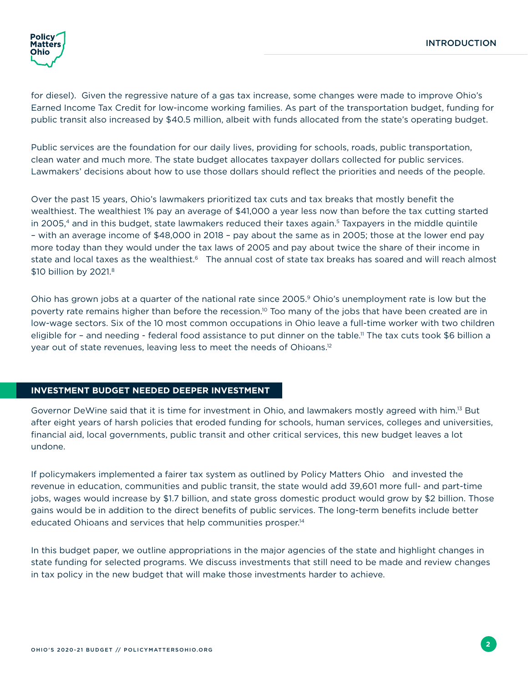

for diesel). Given the regressive nature of a gas tax increase, some changes were made to improve Ohio's Earned Income Tax Credit for low-income working families. As part of the transportation budget, funding for public transit also increased by \$40.5 million, albeit with funds allocated from the state's operating budget.

Public services are the foundation for our daily lives, providing for schools, roads, public transportation, clean water and much more. The state budget allocates taxpayer dollars collected for public services. Lawmakers' decisions about how to use those dollars should reflect the priorities and needs of the people.

Over the past 15 years, Ohio's lawmakers prioritized tax cuts and tax breaks that mostly benefit the wealthiest. The wealthiest 1% pay an average of \$41,000 a year less now than before the tax cutting started in 2005,<sup>4</sup> and in this budget, state lawmakers reduced their taxes again.<sup>5</sup> Taxpayers in the middle quintile – with an average income of \$48,000 in 2018 – pay about the same as in 2005; those at the lower end pay more today than they would under the tax laws of 2005 and pay about twice the share of their income in state and local taxes as the wealthiest.<sup>6</sup> The annual cost of state tax breaks has soared and will reach almost \$10 billion by 2021.8

Ohio has grown jobs at a quarter of the national rate since 2005.<sup>9</sup> Ohio's unemployment rate is low but the poverty rate remains higher than before the recession.<sup>10</sup> Too many of the jobs that have been created are in low-wage sectors. Six of the 10 most common occupations in Ohio leave a full-time worker with two children eligible for - and needing - federal food assistance to put dinner on the table.<sup>11</sup> The tax cuts took \$6 billion a year out of state revenues, leaving less to meet the needs of Ohioans.12

#### **INVESTMENT BUDGET NEEDED DEEPER INVESTMENT**

Governor DeWine said that it is time for investment in Ohio, and lawmakers mostly agreed with him.13 But after eight years of harsh policies that eroded funding for schools, human services, colleges and universities, financial aid, local governments, public transit and other critical services, this new budget leaves a lot undone.

If policymakers implemented a fairer tax system as outlined by Policy Matters Ohio and invested the revenue in education, communities and public transit, the state would add 39,601 more full- and part-time jobs, wages would increase by \$1.7 billion, and state gross domestic product would grow by \$2 billion. Those gains would be in addition to the direct benefits of public services. The long-term benefits include better educated Ohioans and services that help communities prosper.14

In this budget paper, we outline appropriations in the major agencies of the state and highlight changes in state funding for selected programs. We discuss investments that still need to be made and review changes in tax policy in the new budget that will make those investments harder to achieve.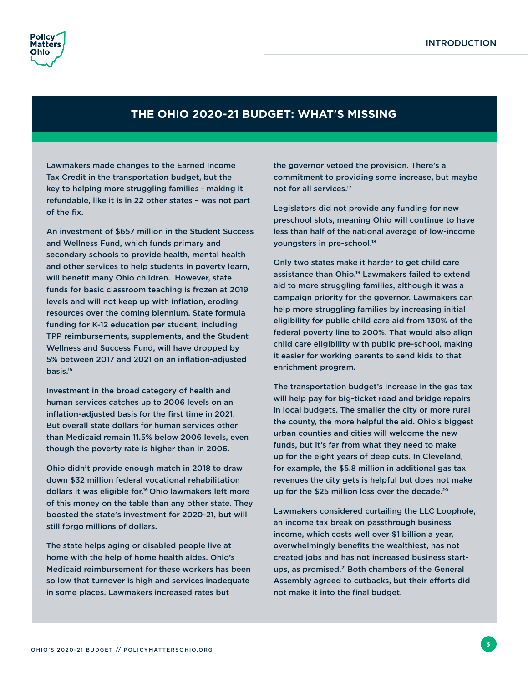

### **THE OHIO 2020-21 BUDGET: WHAT'S MISSING**

Lawmakers made changes to the Earned Income Tax Credit in the transportation budget, but the key to helping more struggling families - making it refundable, like it is in 22 other states – was not part of the fix.

An investment of \$657 million in the Student Success and Wellness Fund, which funds primary and secondary schools to provide health, mental health and other services to help students in poverty learn, will benefit many Ohio children. However, state funds for basic classroom teaching is frozen at 2019 levels and will not keep up with inflation, eroding resources over the coming biennium. State formula funding for K-12 education per student, including TPP reimbursements, supplements, and the Student Wellness and Success Fund, will have dropped by 5% between 2017 and 2021 on an inflation-adjusted basis.15

Investment in the broad category of health and human services catches up to 2006 levels on an inflation-adjusted basis for the first time in 2021. But overall state dollars for human services other than Medicaid remain 11.5% below 2006 levels, even though the poverty rate is higher than in 2006.

Ohio didn't provide enough match in 2018 to draw down \$32 million federal vocational rehabilitation dollars it was eligible for.16 Ohio lawmakers left more of this money on the table than any other state. They boosted the state's investment for 2020-21, but will still forgo millions of dollars.

The state helps aging or disabled people live at home with the help of home health aides. Ohio's Medicaid reimbursement for these workers has been so low that turnover is high and services inadequate in some places. Lawmakers increased rates but

the governor vetoed the provision. There's a commitment to providing some increase, but maybe not for all services.17

Legislators did not provide any funding for new preschool slots, meaning Ohio will continue to have less than half of the national average of low-income youngsters in pre-school.18

Only two states make it harder to get child care assistance than Ohio.19 Lawmakers failed to extend aid to more struggling families, although it was a campaign priority for the governor. Lawmakers can help more struggling families by increasing initial eligibility for public child care aid from 130% of the federal poverty line to 200%. That would also align child care eligibility with public pre-school, making it easier for working parents to send kids to that enrichment program.

The transportation budget's increase in the gas tax will help pay for big-ticket road and bridge repairs in local budgets. The smaller the city or more rural the county, the more helpful the aid. Ohio's biggest urban counties and cities will welcome the new funds, but it's far from what they need to make up for the eight years of deep cuts. In Cleveland, for example, the \$5.8 million in additional gas tax revenues the city gets is helpful but does not make up for the \$25 million loss over the decade.<sup>20</sup>

Lawmakers considered curtailing the LLC Loophole, an income tax break on passthrough business income, which costs well over \$1 billion a year, overwhelmingly benefits the wealthiest, has not created jobs and has not increased business startups, as promised.21 Both chambers of the General Assembly agreed to cutbacks, but their efforts did not make it into the final budget.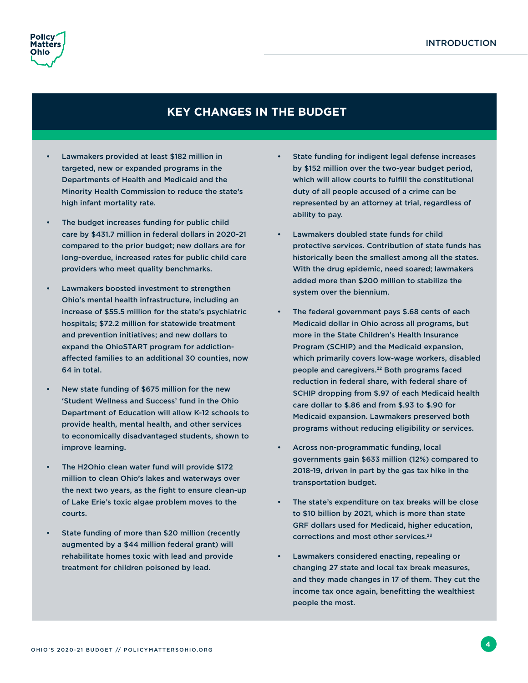

### **KEY CHANGES IN THE BUDGET**

- Lawmakers provided at least \$182 million in targeted, new or expanded programs in the Departments of Health and Medicaid and the Minority Health Commission to reduce the state's high infant mortality rate.
- The budget increases funding for public child care by \$431.7 million in federal dollars in 2020-21 compared to the prior budget; new dollars are for long-overdue, increased rates for public child care providers who meet quality benchmarks.
- Lawmakers boosted investment to strengthen Ohio's mental health infrastructure, including an increase of \$55.5 million for the state's psychiatric hospitals; \$72.2 million for statewide treatment and prevention initiatives; and new dollars to expand the OhioSTART program for addictionaffected families to an additional 30 counties, now 64 in total.
- New state funding of \$675 million for the new 'Student Wellness and Success' fund in the Ohio Department of Education will allow K-12 schools to provide health, mental health, and other services to economically disadvantaged students, shown to improve learning.
- The H2Ohio clean water fund will provide \$172 million to clean Ohio's lakes and waterways over the next two years, as the fight to ensure clean-up of Lake Erie's toxic algae problem moves to the courts.
- State funding of more than \$20 million (recently augmented by a \$44 million federal grant) will rehabilitate homes toxic with lead and provide treatment for children poisoned by lead.
- State funding for indigent legal defense increases by \$152 million over the two-year budget period, which will allow courts to fulfill the constitutional duty of all people accused of a crime can be represented by an attorney at trial, regardless of ability to pay.
- Lawmakers doubled state funds for child protective services. Contribution of state funds has historically been the smallest among all the states. With the drug epidemic, need soared; lawmakers added more than \$200 million to stabilize the system over the biennium.
- The federal government pays \$.68 cents of each Medicaid dollar in Ohio across all programs, but more in the State Children's Health Insurance Program (SCHIP) and the Medicaid expansion, which primarily covers low-wage workers, disabled people and caregivers.<sup>22</sup> Both programs faced reduction in federal share, with federal share of SCHIP dropping from \$.97 of each Medicaid health care dollar to \$.86 and from \$.93 to \$.90 for Medicaid expansion. Lawmakers preserved both programs without reducing eligibility or services.
- Across non-programmatic funding, local governments gain \$633 million (12%) compared to 2018-19, driven in part by the gas tax hike in the transportation budget.
- The state's expenditure on tax breaks will be close to \$10 billion by 2021, which is more than state GRF dollars used for Medicaid, higher education, corrections and most other services.23
- Lawmakers considered enacting, repealing or changing 27 state and local tax break measures, and they made changes in 17 of them. They cut the income tax once again, benefitting the wealthiest people the most.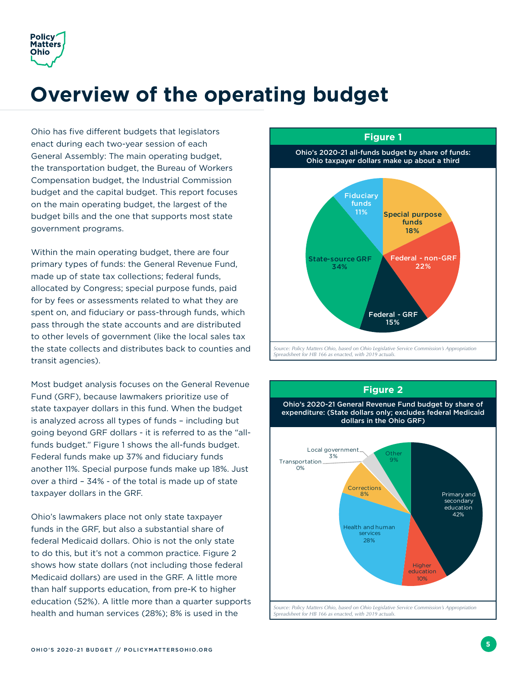<span id="page-8-0"></span>

## **Overview of the operating budget**

Ohio has five different budgets that legislators enact during each two-year session of each General Assembly: The main operating budget, the transportation budget, the Bureau of Workers Compensation budget, the Industrial Commission budget and the capital budget. This report focuses on the main operating budget, the largest of the budget bills and the one that supports most state government programs.

Within the main operating budget, there are four primary types of funds: the General Revenue Fund, made up of state tax collections; federal funds, allocated by Congress; special purpose funds, paid for by fees or assessments related to what they are spent on, and fiduciary or pass-through funds, which pass through the state accounts and are distributed to other levels of government (like the local sales tax the state collects and distributes back to counties and transit agencies).

Most budget analysis focuses on the General Revenue Fund (GRF), because lawmakers prioritize use of state taxpayer dollars in this fund. When the budget is analyzed across all types of funds – including but going beyond GRF dollars - it is referred to as the "allfunds budget." Figure 1 shows the all-funds budget. Federal funds make up 37% and fiduciary funds another 11%. Special purpose funds make up 18%. Just over a third – 34% - of the total is made up of state taxpayer dollars in the GRF.

Ohio's lawmakers place not only state taxpayer funds in the GRF, but also a substantial share of federal Medicaid dollars. Ohio is not the only state to do this, but it's not a common practice. Figure 2 shows how state dollars (not including those federal Medicaid dollars) are used in the GRF. A little more than half supports education, from pre-K to higher education (52%). A little more than a quarter supports health and human services (28%); 8% is used in the



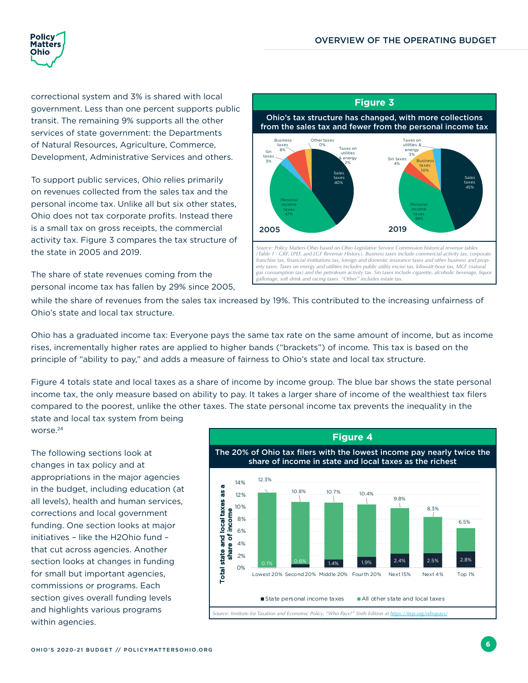<span id="page-9-0"></span>

worse.<sup>24</sup>

correctional system and 3% is shared with local government. Less than one percent supports public transit. The remaining 9% supports all the other services of state government: the Departments of Natural Resources, Agriculture, Commerce, Development, Administrative Services and others.

To support public services, Ohio relies primarily on revenues collected from the sales tax and the personal income tax. Unlike all but six other states, Ohio does not tax corporate profits. Instead there is a small tax on gross receipts, the commercial activity tax. Figure 3 compares the tax structure of the state in 2005 and 2019.

The share of state revenues coming from the personal income tax has fallen by 29% since 2005,



while the share of revenues from the sales tax increased by 19%. This contributed to the increasing unfairness of Ohio's state and local tax structure.

Ohio has a graduated income tax: Everyone pays the same tax rate on the same amount of income, but as income rises, incrementally higher rates are applied to higher bands ("brackets") of income. This tax is based on the principle of "ability to pay," and adds a measure of fairness to Ohio's state and local tax structure.

Figure 4 totals state and local taxes as a share of income by income group. The blue bar shows the state personal income tax, the only measure based on ability to pay. It takes a larger share of income of the wealthiest tax filers compared to the poorest, unlike the other taxes. The state personal income tax prevents the inequality in the state and local tax system from being

The following sections look at changes in tax policy and at appropriations in the major agencies in the budget, including education (at all levels), health and human services, corrections and local government funding. One section looks at major initiatives – like the H2Ohio fund – that cut across agencies. Another section looks at changes in funding for small but important agencies, commissions or programs. Each section gives overall funding levels and highlights various programs within agencies.

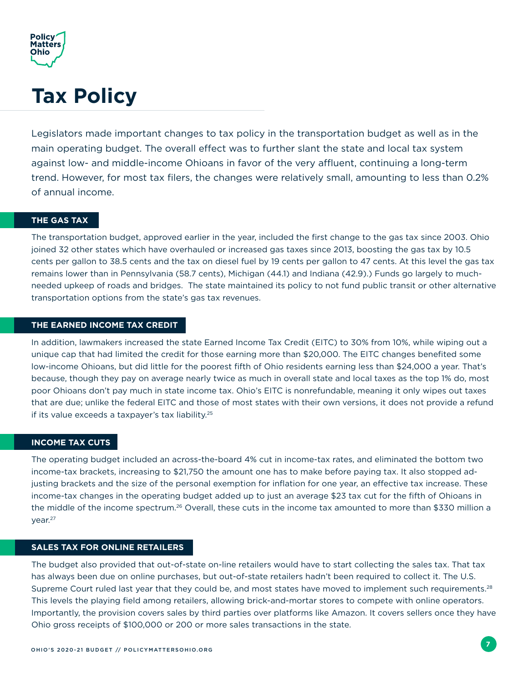<span id="page-10-0"></span>

## **Tax Policy**

Legislators made important changes to tax policy in the transportation budget as well as in the main operating budget. The overall effect was to further slant the state and local tax system against low- and middle-income Ohioans in favor of the very affluent, continuing a long-term trend. However, for most tax filers, the changes were relatively small, amounting to less than 0.2% of annual income.

#### **THE GAS TAX**

The transportation budget, approved earlier in the year, included the first change to the gas tax since 2003. Ohio joined 32 other states which have overhauled or increased gas taxes since 2013, boosting the gas tax by 10.5 cents per gallon to 38.5 cents and the tax on diesel fuel by 19 cents per gallon to 47 cents. At this level the gas tax remains lower than in Pennsylvania (58.7 cents), Michigan (44.1) and Indiana (42.9).) Funds go largely to muchneeded upkeep of roads and bridges. The state maintained its policy to not fund public transit or other alternative transportation options from the state's gas tax revenues.

#### **THE EARNED INCOME TAX CREDIT**

In addition, lawmakers increased the state Earned Income Tax Credit (EITC) to 30% from 10%, while wiping out a unique cap that had limited the credit for those earning more than \$20,000. The EITC changes benefited some low-income Ohioans, but did little for the poorest fifth of Ohio residents earning less than \$24,000 a year. That's because, though they pay on average nearly twice as much in overall state and local taxes as the top 1% do, most poor Ohioans don't pay much in state income tax. Ohio's EITC is nonrefundable, meaning it only wipes out taxes that are due; unlike the federal EITC and those of most states with their own versions, it does not provide a refund if its value exceeds a taxpayer's tax liability.<sup>25</sup>

#### **INCOME TAX CUTS**

The operating budget included an across-the-board 4% cut in income-tax rates, and eliminated the bottom two income-tax brackets, increasing to \$21,750 the amount one has to make before paying tax. It also stopped adjusting brackets and the size of the personal exemption for inflation for one year, an effective tax increase. These income-tax changes in the operating budget added up to just an average \$23 tax cut for the fifth of Ohioans in the middle of the income spectrum.<sup>26</sup> Overall, these cuts in the income tax amounted to more than \$330 million a year.27

#### **SALES TAX FOR ONLINE RETAILERS**

The budget also provided that out-of-state on-line retailers would have to start collecting the sales tax. That tax has always been due on online purchases, but out-of-state retailers hadn't been required to collect it. The U.S. Supreme Court ruled last year that they could be, and most states have moved to implement such requirements.<sup>28</sup> This levels the playing field among retailers, allowing brick-and-mortar stores to compete with online operators. Importantly, the provision covers sales by third parties over platforms like Amazon. It covers sellers once they have Ohio gross receipts of \$100,000 or 200 or more sales transactions in the state.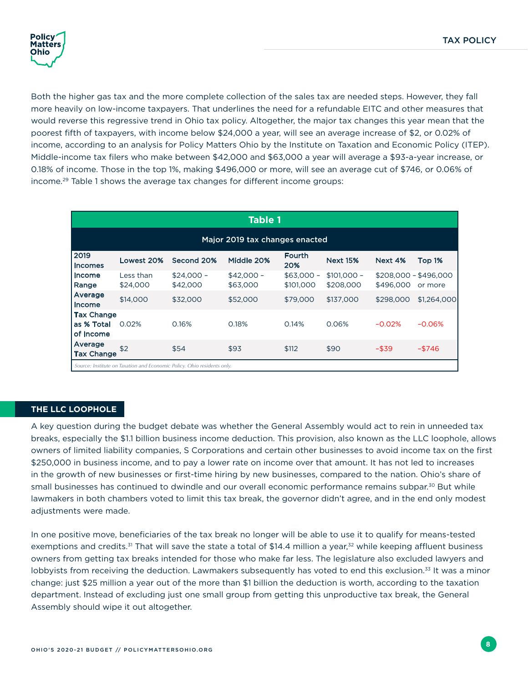<span id="page-11-0"></span>

Both the higher gas tax and the more complete collection of the sales tax are needed steps. However, they fall more heavily on low-income taxpayers. That underlines the need for a refundable EITC and other measures that would reverse this regressive trend in Ohio tax policy. Altogether, the major tax changes this year mean that the poorest fifth of taxpayers, with income below \$24,000 a year, will see an average increase of \$2, or 0.02% of income, according to an analysis for Policy Matters Ohio by the Institute on Taxation and Economic Policy (ITEP). Middle-income tax filers who make between \$42,000 and \$63,000 a year will average a \$93-a-year increase, or 0.18% of income. Those in the top 1%, making \$496,000 or more, will see an average cut of \$746, or 0.06% of income.29 Table 1 shows the average tax changes for different income groups:

| <b>Table 1</b>                                                          |                       |                         |                         |                          |                           |                                    |             |
|-------------------------------------------------------------------------|-----------------------|-------------------------|-------------------------|--------------------------|---------------------------|------------------------------------|-------------|
| Major 2019 tax changes enacted                                          |                       |                         |                         |                          |                           |                                    |             |
| 2019<br><b>Incomes</b>                                                  | Lowest 20%            | Second 20%              | Middle 20%              | Fourth<br>20%            | <b>Next 15%</b>           | Next 4%                            | Top 1%      |
| Income<br>Range                                                         | Less than<br>\$24,000 | $$24,000 -$<br>\$42,000 | $$42.000 -$<br>\$63,000 | $$63,000 -$<br>\$101,000 | $$101,000 -$<br>\$208,000 | $$208.000 - $496.000$<br>\$496,000 | or more     |
| Average<br>Income                                                       | \$14,000              | \$32,000                | \$52,000                | \$79,000                 | \$137,000                 | \$298,000                          | \$1,264,000 |
| <b>Tax Change</b><br>as % Total<br>of Income                            | 0.02%                 | 0.16%                   | 0.18%                   | 0.14%                    | 0.06%                     | $-0.02%$                           | $-0.06%$    |
| Average<br><b>Tax Change</b>                                            | \$2                   | \$54                    | \$93                    | \$112                    | \$90                      | $-$ \$39                           | $-$ \$746   |
| Source: Institute on Taxation and Economic Policy. Ohio residents only. |                       |                         |                         |                          |                           |                                    |             |

#### **THE LLC LOOPHOLE**

A key question during the budget debate was whether the General Assembly would act to rein in unneeded tax breaks, especially the \$1.1 billion business income deduction. This provision, also known as the LLC loophole, allows owners of limited liability companies, S Corporations and certain other businesses to avoid income tax on the first \$250,000 in business income, and to pay a lower rate on income over that amount. It has not led to increases in the growth of new businesses or first-time hiring by new businesses, compared to the nation. Ohio's share of small businesses has continued to dwindle and our overall economic performance remains subpar.<sup>30</sup> But while lawmakers in both chambers voted to limit this tax break, the governor didn't agree, and in the end only modest adjustments were made.

In one positive move, beneficiaries of the tax break no longer will be able to use it to qualify for means-tested exemptions and credits.<sup>31</sup> That will save the state a total of \$14.4 million a year,<sup>32</sup> while keeping affluent business owners from getting tax breaks intended for those who make far less. The legislature also excluded lawyers and lobbyists from receiving the deduction. Lawmakers subsequently has voted to end this exclusion.<sup>33</sup> It was a minor change: just \$25 million a year out of the more than \$1 billion the deduction is worth, according to the taxation department. Instead of excluding just one small group from getting this unproductive tax break, the General Assembly should wipe it out altogether.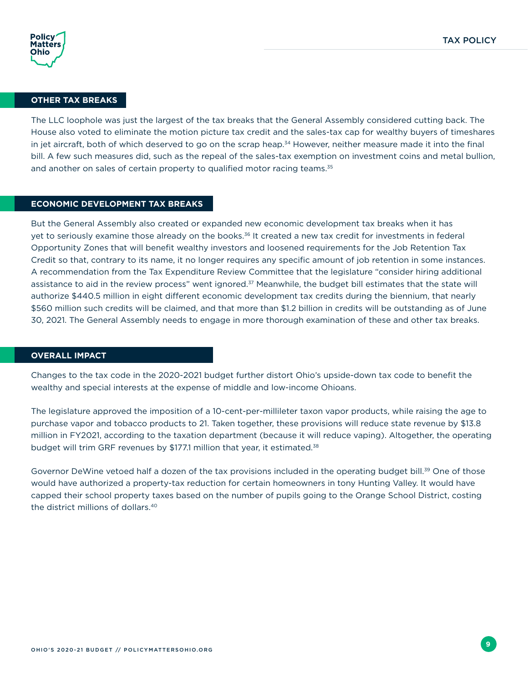

#### **OTHER TAX BREAKS**

The LLC loophole was just the largest of the tax breaks that the General Assembly considered cutting back. The House also voted to eliminate the motion picture tax credit and the sales-tax cap for wealthy buyers of timeshares in jet aircraft, both of which deserved to go on the scrap heap.<sup>34</sup> However, neither measure made it into the final bill. A few such measures did, such as the repeal of the sales-tax exemption on investment coins and metal bullion, and another on sales of certain property to qualified motor racing teams.<sup>35</sup>

#### **ECONOMIC DEVELOPMENT TAX BREAKS**

But the General Assembly also created or expanded new economic development tax breaks when it has yet to seriously examine those already on the books.36 It created a new tax credit for investments in federal Opportunity Zones that will benefit wealthy investors and loosened requirements for the Job Retention Tax Credit so that, contrary to its name, it no longer requires any specific amount of job retention in some instances. A recommendation from the Tax Expenditure Review Committee that the legislature "consider hiring additional assistance to aid in the review process" went ignored.<sup>37</sup> Meanwhile, the budget bill estimates that the state will authorize \$440.5 million in eight different economic development tax credits during the biennium, that nearly \$560 million such credits will be claimed, and that more than \$1.2 billion in credits will be outstanding as of June 30, 2021. The General Assembly needs to engage in more thorough examination of these and other tax breaks.

#### **OVERALL IMPACT**

Changes to the tax code in the 2020-2021 budget further distort Ohio's upside-down tax code to benefit the wealthy and special interests at the expense of middle and low-income Ohioans.

The legislature approved the imposition of a 10-cent-per-millileter taxon vapor products, while raising the age to purchase vapor and tobacco products to 21. Taken together, these provisions will reduce state revenue by \$13.8 million in FY2021, according to the taxation department (because it will reduce vaping). Altogether, the operating budget will trim GRF revenues by \$177.1 million that year, it estimated.<sup>38</sup>

Governor DeWine vetoed half a dozen of the tax provisions included in the operating budget bill.<sup>39</sup> One of those would have authorized a property-tax reduction for certain homeowners in tony Hunting Valley. It would have capped their school property taxes based on the number of pupils going to the Orange School District, costing the district millions of dollars.40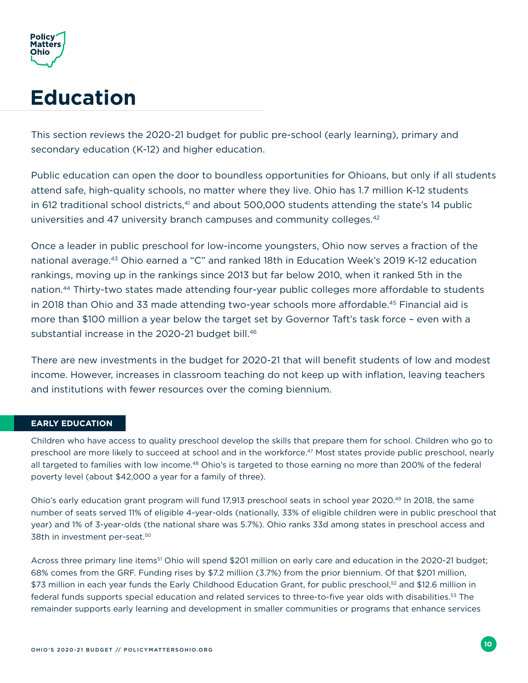<span id="page-13-0"></span>

## **Education**

This section reviews the 2020-21 budget for public pre-school (early learning), primary and secondary education (K-12) and higher education.

Public education can open the door to boundless opportunities for Ohioans, but only if all students attend safe, high-quality schools, no matter where they live. Ohio has 1.7 million K-12 students in 612 traditional school districts, $41$  and about 500,000 students attending the state's 14 public universities and 47 university branch campuses and community colleges.<sup>42</sup>

Once a leader in public preschool for low-income youngsters, Ohio now serves a fraction of the national average.<sup>43</sup> Ohio earned a "C" and ranked 18th in Education Week's 2019 K-12 education rankings, moving up in the rankings since 2013 but far below 2010, when it ranked 5th in the nation.44 Thirty-two states made attending four-year public colleges more affordable to students in 2018 than Ohio and 33 made attending two-year schools more affordable.<sup>45</sup> Financial aid is more than \$100 million a year below the target set by Governor Taft's task force – even with a substantial increase in the 2020-21 budget bill.<sup>46</sup>

There are new investments in the budget for 2020-21 that will benefit students of low and modest income. However, increases in classroom teaching do not keep up with inflation, leaving teachers and institutions with fewer resources over the coming biennium.

#### **EARLY EDUCATION**

Children who have access to quality preschool develop the skills that prepare them for school. Children who go to preschool are more likely to succeed at school and in the workforce.<sup>47</sup> Most states provide public preschool, nearly all targeted to families with low income.<sup>48</sup> Ohio's is targeted to those earning no more than 200% of the federal poverty level (about \$42,000 a year for a family of three).

Ohio's early education grant program will fund 17,913 preschool seats in school year 2020.49 In 2018, the same number of seats served 11% of eligible 4-year-olds (nationally, 33% of eligible children were in public preschool that year) and 1% of 3-year-olds (the national share was 5.7%). Ohio ranks 33d among states in preschool access and 38th in investment per-seat.<sup>50</sup>

Across three primary line items<sup>51</sup> Ohio will spend \$201 million on early care and education in the 2020-21 budget; 68% comes from the GRF. Funding rises by \$7.2 million (3.7%) from the prior biennium. Of that \$201 million, \$73 million in each year funds the Early Childhood Education Grant, for public preschool,<sup>52</sup> and \$12.6 million in federal funds supports special education and related services to three-to-five year olds with disabilities.<sup>53</sup> The remainder supports early learning and development in smaller communities or programs that enhance services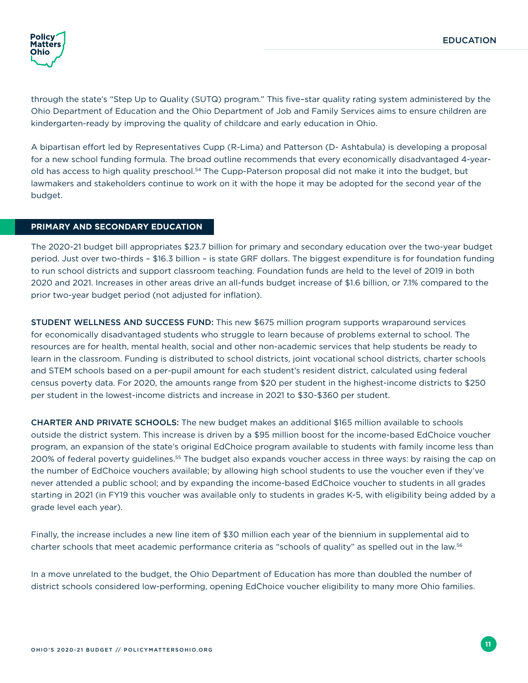

through the state's "Step Up to Quality (SUTQ) program." This five–star quality rating system administered by the Ohio Department of Education and the Ohio Department of Job and Family Services aims to ensure children are kindergarten-ready by improving the quality of childcare and early education in Ohio.

A bipartisan effort led by Representatives Cupp (R-Lima) and Patterson (D- Ashtabula) is developing a proposal for a new school funding formula. The broad outline recommends that every economically disadvantaged 4-yearold has access to high quality preschool.<sup>54</sup> The Cupp-Paterson proposal did not make it into the budget, but lawmakers and stakeholders continue to work on it with the hope it may be adopted for the second year of the budget.

#### **PRIMARY AND SECONDARY EDUCATION**

The 2020-21 budget bill appropriates \$23.7 billion for primary and secondary education over the two-year budget period. Just over two-thirds – \$16.3 billion – is state GRF dollars. The biggest expenditure is for foundation funding to run school districts and support classroom teaching. Foundation funds are held to the level of 2019 in both 2020 and 2021. Increases in other areas drive an all-funds budget increase of \$1.6 billion, or 7.1% compared to the prior two-year budget period (not adjusted for inflation).

STUDENT WELLNESS AND SUCCESS FUND: This new \$675 million program supports wraparound services for economically disadvantaged students who struggle to learn because of problems external to school. The resources are for health, mental health, social and other non-academic services that help students be ready to learn in the classroom. Funding is distributed to school districts, joint vocational school districts, charter schools and STEM schools based on a per-pupil amount for each student's resident district, calculated using federal census poverty data. For 2020, the amounts range from \$20 per student in the highest-income districts to \$250 per student in the lowest-income districts and increase in 2021 to \$30-\$360 per student.

CHARTER AND PRIVATE SCHOOLS: The new budget makes an additional \$165 million available to schools outside the district system. This increase is driven by a \$95 million boost for the income-based EdChoice voucher program, an expansion of the state's original EdChoice program available to students with family income less than 200% of federal poverty guidelines.55 The budget also expands voucher access in three ways: by raising the cap on the number of EdChoice vouchers available; by allowing high school students to use the voucher even if they've never attended a public school; and by expanding the income-based EdChoice voucher to students in all grades starting in 2021 (in FY19 this voucher was available only to students in grades K-5, with eligibility being added by a grade level each year).

Finally, the increase includes a new line item of \$30 million each year of the biennium in supplemental aid to charter schools that meet academic performance criteria as "schools of quality" as spelled out in the law.56

In a move unrelated to the budget, the Ohio Department of Education has more than doubled the number of district schools considered low-performing, opening EdChoice voucher eligibility to many more Ohio families.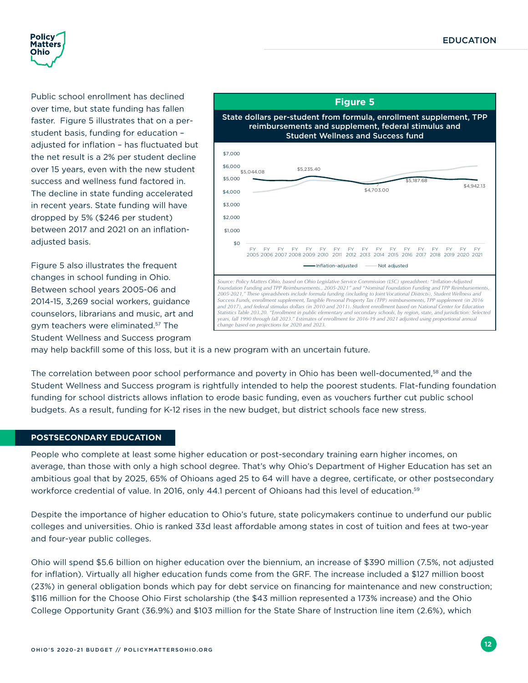<span id="page-15-0"></span>

Public school enrollment has declined over time, but state funding has fallen faster. Figure 5 illustrates that on a perstudent basis, funding for education – adjusted for inflation – has fluctuated but the net result is a 2% per student decline over 15 years, even with the new student success and wellness fund factored in. The decline in state funding accelerated in recent years. State funding will have dropped by 5% (\$246 per student) between 2017 and 2021 on an inflationadiusted basis.

Figure 5 also illustrates the frequent changes in school funding in Ohio. Between school years 2005-06 and 2014-15, 3,269 social workers, guidance counselors, librarians and music, art and gym teachers were eliminated.57 The Student Wellness and Success program



may help backfill some of this loss, but it is a new program with an uncertain future.

The correlation between poor school performance and poverty in Ohio has been well-documented,58 and the Student Wellness and Success program is rightfully intended to help the poorest students. Flat-funding foundation funding for school districts allows inflation to erode basic funding, even as vouchers further cut public school budgets. As a result, funding for K-12 rises in the new budget, but district schools face new stress.

#### **POSTSECONDARY EDUCATION**

People who complete at least some higher education or post-secondary training earn higher incomes, on average, than those with only a high school degree. That's why Ohio's Department of Higher Education has set an ambitious goal that by 2025, 65% of Ohioans aged 25 to 64 will have a degree, certificate, or other postsecondary workforce credential of value. In 2016, only 44.1 percent of Ohioans had this level of education.<sup>59</sup>

Despite the importance of higher education to Ohio's future, state policymakers continue to underfund our public colleges and universities. Ohio is ranked 33d least affordable among states in cost of tuition and fees at two-year and four-year public colleges.

Ohio will spend \$5.6 billion on higher education over the biennium, an increase of \$390 million (7.5%, not adjusted for inflation). Virtually all higher education funds come from the GRF. The increase included a \$127 million boost (23%) in general obligation bonds which pay for debt service on financing for maintenance and new construction; \$116 million for the Choose Ohio First scholarship (the \$43 million represented a 173% increase) and the Ohio College Opportunity Grant (36.9%) and \$103 million for the State Share of Instruction line item (2.6%), which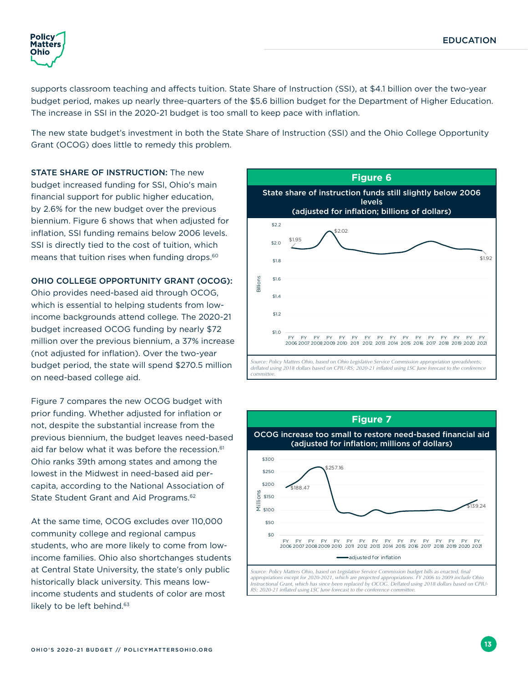<span id="page-16-0"></span>

supports classroom teaching and affects tuition. State Share of Instruction (SSI), at \$4.1 billion over the two-year budget period, makes up nearly three-quarters of the \$5.6 billion budget for the Department of Higher Education. The increase in SSI in the 2020-21 budget is too small to keep pace with inflation.

The new state budget's investment in both the State Share of Instruction (SSI) and the Ohio College Opportunity Grant (OCOG) does little to remedy this problem.

STATE SHARE OF INSTRUCTION: The new budget increased funding for SSI, Ohio's main financial support for public higher education, by 2.6% for the new budget over the previous biennium. Figure 6 shows that when adjusted for inflation, SSI funding remains below 2006 levels. SSI is directly tied to the cost of tuition, which means that tuition rises when funding drops.<sup>60</sup>

OHIO COLLEGE OPPORTUNITY GRANT (OCOG): Ohio provides need-based aid through OCOG, which is essential to helping students from lowincome backgrounds attend college. The 2020-21 budget increased OCOG funding by nearly \$72 million over the previous biennium, a 37% increase (not adjusted for inflation). Over the two-year budget period, the state will spend \$270.5 million on need-based college aid.

Figure 7 compares the new OCOG budget with prior funding. Whether adjusted for inflation or not, despite the substantial increase from the previous biennium, the budget leaves need-based aid far below what it was before the recession.<sup>61</sup> Ohio ranks 39th among states and among the lowest in the Midwest in need-based aid percapita, according to the National Association of State Student Grant and Aid Programs.<sup>62</sup>

At the same time, OCOG excludes over 110,000 community college and regional campus students, who are more likely to come from lowincome families. Ohio also shortchanges students at Central State University, the state's only public historically black university. This means lowincome students and students of color are most likely to be left behind.<sup>63</sup>



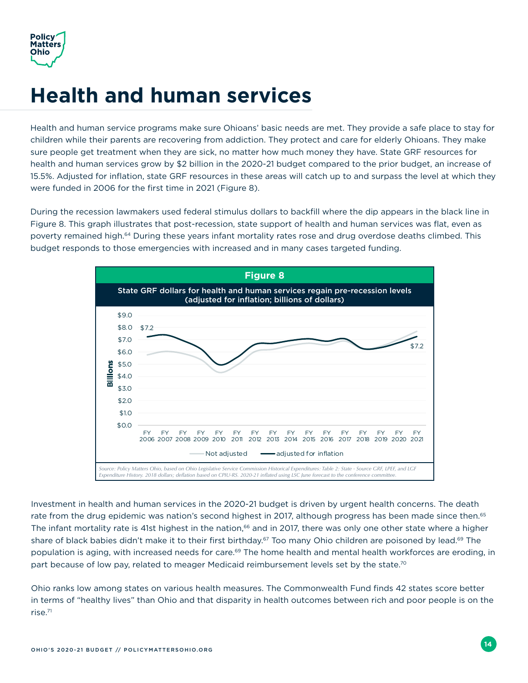<span id="page-17-0"></span>

## **Health and human services**

Health and human service programs make sure Ohioans' basic needs are met. They provide a safe place to stay for children while their parents are recovering from addiction. They protect and care for elderly Ohioans. They make sure people get treatment when they are sick, no matter how much money they have. State GRF resources for health and human services grow by \$2 billion in the 2020-21 budget compared to the prior budget, an increase of 15.5%. Adjusted for inflation, state GRF resources in these areas will catch up to and surpass the level at which they were funded in 2006 for the first time in 2021 (Figure 8).

During the recession lawmakers used federal stimulus dollars to backfill where the dip appears in the black line in Figure 8. This graph illustrates that post-recession, state support of health and human services was flat, even as poverty remained high.<sup>64</sup> During these years infant mortality rates rose and drug overdose deaths climbed. This budget responds to those emergencies with increased and in many cases targeted funding.



Investment in health and human services in the 2020-21 budget is driven by urgent health concerns. The death rate from the drug epidemic was nation's second highest in 2017, although progress has been made since then.<sup>65</sup> The infant mortality rate is 41st highest in the nation,<sup>66</sup> and in 2017, there was only one other state where a higher share of black babies didn't make it to their first birthday.<sup>67</sup> Too many Ohio children are poisoned by lead.<sup>69</sup> The population is aging, with increased needs for care.<sup>69</sup> The home health and mental health workforces are eroding, in part because of low pay, related to meager Medicaid reimbursement levels set by the state.<sup>70</sup>

Ohio ranks low among states on various health measures. The Commonwealth Fund finds 42 states score better in terms of "healthy lives" than Ohio and that disparity in health outcomes between rich and poor people is on the rise.71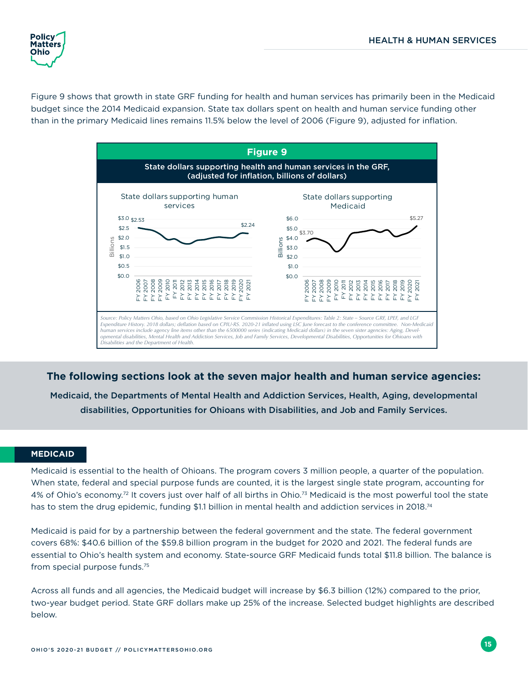<span id="page-18-0"></span>

Figure 9 shows that growth in state GRF funding for health and human services has primarily been in the Medicaid budget since the 2014 Medicaid expansion. State tax dollars spent on health and human service funding other than in the primary Medicaid lines remains 11.5% below the level of 2006 (Figure 9), adjusted for inflation.



**The following sections look at the seven major health and human service agencies:** 

Medicaid, the Departments of Mental Health and Addiction Services, Health, Aging, developmental disabilities, Opportunities for Ohioans with Disabilities, and Job and Family Services.

#### **MEDICAID**

Medicaid is essential to the health of Ohioans. The program covers 3 million people, a quarter of the population. When state, federal and special purpose funds are counted, it is the largest single state program, accounting for 4% of Ohio's economy.<sup>72</sup> It covers just over half of all births in Ohio.<sup>73</sup> Medicaid is the most powerful tool the state has to stem the drug epidemic, funding \$1.1 billion in mental health and addiction services in 2018.<sup>74</sup>

Medicaid is paid for by a partnership between the federal government and the state. The federal government covers 68%: \$40.6 billion of the \$59.8 billion program in the budget for 2020 and 2021. The federal funds are essential to Ohio's health system and economy. State-source GRF Medicaid funds total \$11.8 billion. The balance is from special purpose funds.75

Across all funds and all agencies, the Medicaid budget will increase by \$6.3 billion (12%) compared to the prior, two-year budget period. State GRF dollars make up 25% of the increase. Selected budget highlights are described below.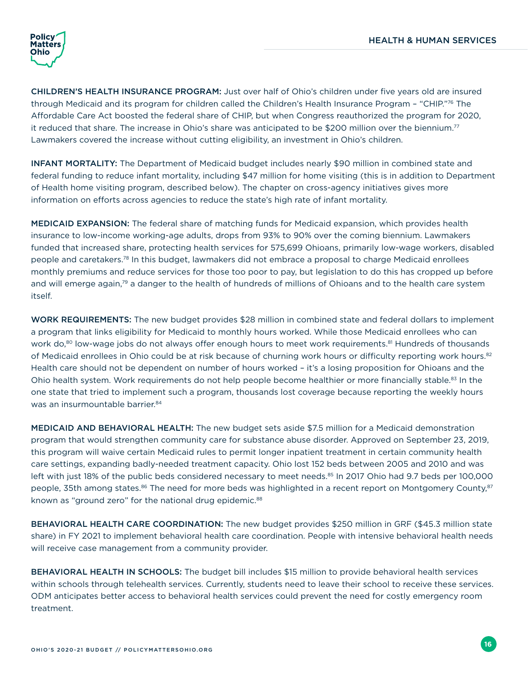

CHILDREN'S HEALTH INSURANCE PROGRAM: Just over half of Ohio's children under five years old are insured through Medicaid and its program for children called the Children's Health Insurance Program - "CHIP."76 The Affordable Care Act boosted the federal share of CHIP, but when Congress reauthorized the program for 2020, it reduced that share. The increase in Ohio's share was anticipated to be \$200 million over the biennium.77 Lawmakers covered the increase without cutting eligibility, an investment in Ohio's children.

INFANT MORTALITY: The Department of Medicaid budget includes nearly \$90 million in combined state and federal funding to reduce infant mortality, including \$47 million for home visiting (this is in addition to Department of Health home visiting program, described below). The chapter on cross-agency initiatives gives more information on efforts across agencies to reduce the state's high rate of infant mortality.

MEDICAID EXPANSION: The federal share of matching funds for Medicaid expansion, which provides health insurance to low-income working-age adults, drops from 93% to 90% over the coming biennium. Lawmakers funded that increased share, protecting health services for 575,699 Ohioans, primarily low-wage workers, disabled people and caretakers.78 In this budget, lawmakers did not embrace a proposal to charge Medicaid enrollees monthly premiums and reduce services for those too poor to pay, but legislation to do this has cropped up before and will emerge again,<sup>79</sup> a danger to the health of hundreds of millions of Ohioans and to the health care system itself.

WORK REQUIREMENTS: The new budget provides \$28 million in combined state and federal dollars to implement a program that links eligibility for Medicaid to monthly hours worked. While those Medicaid enrollees who can work do,<sup>80</sup> low-wage jobs do not always offer enough hours to meet work requirements.<sup>81</sup> Hundreds of thousands of Medicaid enrollees in Ohio could be at risk because of churning work hours or difficulty reporting work hours.<sup>82</sup> Health care should not be dependent on number of hours worked – it's a losing proposition for Ohioans and the Ohio health system. Work requirements do not help people become healthier or more financially stable.<sup>83</sup> In the one state that tried to implement such a program, thousands lost coverage because reporting the weekly hours was an insurmountable barrier.<sup>84</sup>

MEDICAID AND BEHAVIORAL HEALTH: The new budget sets aside \$7.5 million for a Medicaid demonstration program that would strengthen community care for substance abuse disorder. Approved on September 23, 2019, this program will waive certain Medicaid rules to permit longer inpatient treatment in certain community health care settings, expanding badly-needed treatment capacity. Ohio lost 152 beds between 2005 and 2010 and was left with just 18% of the public beds considered necessary to meet needs.<sup>85</sup> In 2017 Ohio had 9.7 beds per 100,000 people, 35th among states.<sup>86</sup> The need for more beds was highlighted in a recent report on Montgomery County,<sup>87</sup> known as "ground zero" for the national drug epidemic.<sup>88</sup>

BEHAVIORAL HEALTH CARE COORDINATION: The new budget provides \$250 million in GRF (\$45.3 million state share) in FY 2021 to implement behavioral health care coordination. People with intensive behavioral health needs will receive case management from a community provider.

BEHAVIORAL HEALTH IN SCHOOLS: The budget bill includes \$15 million to provide behavioral health services within schools through telehealth services. Currently, students need to leave their school to receive these services. ODM anticipates better access to behavioral health services could prevent the need for costly emergency room treatment.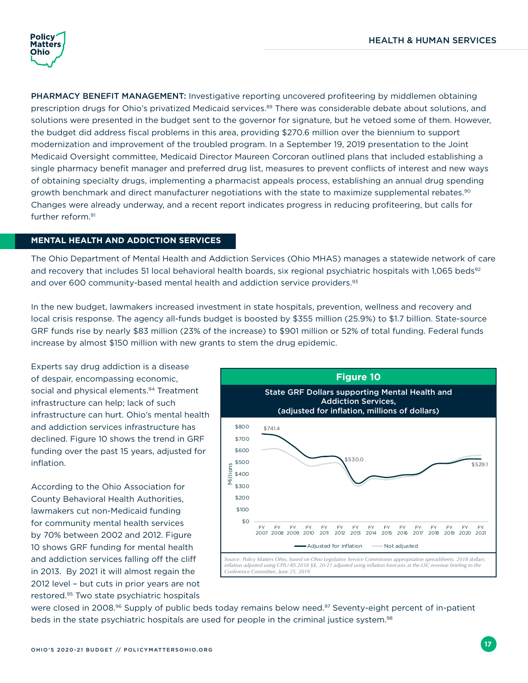<span id="page-20-0"></span>

PHARMACY BENEFIT MANAGEMENT: Investigative reporting uncovered profiteering by middlemen obtaining prescription drugs for Ohio's privatized Medicaid services.<sup>89</sup> There was considerable debate about solutions, and solutions were presented in the budget sent to the governor for signature, but he vetoed some of them. However, the budget did address fiscal problems in this area, providing \$270.6 million over the biennium to support modernization and improvement of the troubled program. In a September 19, 2019 presentation to the Joint Medicaid Oversight committee, Medicaid Director Maureen Corcoran outlined plans that included establishing a single pharmacy benefit manager and preferred drug list, measures to prevent conflicts of interest and new ways of obtaining specialty drugs, implementing a pharmacist appeals process, establishing an annual drug spending growth benchmark and direct manufacturer negotiations with the state to maximize supplemental rebates.<sup>90</sup> Changes were already underway, and a recent report indicates progress in reducing profiteering, but calls for further reform.91

#### **MENTAL HEALTH AND ADDICTION SERVICES**

The Ohio Department of Mental Health and Addiction Services (Ohio MHAS) manages a statewide network of care and recovery that includes 51 local behavioral health boards, six regional psychiatric hospitals with 1,065 beds<sup>92</sup> and over 600 community-based mental health and addiction service providers.<sup>93</sup>

In the new budget, lawmakers increased investment in state hospitals, prevention, wellness and recovery and local crisis response. The agency all-funds budget is boosted by \$355 million (25.9%) to \$1.7 billion. State-source GRF funds rise by nearly \$83 million (23% of the increase) to \$901 million or 52% of total funding. Federal funds increase by almost \$150 million with new grants to stem the drug epidemic.

Experts say drug addiction is a disease of despair, encompassing economic, social and physical elements.<sup>94</sup> Treatment infrastructure can help; lack of such infrastructure can hurt. Ohio's mental health and addiction services infrastructure has declined. Figure 10 shows the trend in GRF funding over the past 15 years, adjusted for inflation.

According to the Ohio Association for County Behavioral Health Authorities, lawmakers cut non-Medicaid funding for community mental health services by 70% between 2002 and 2012. Figure 10 shows GRF funding for mental health and addiction services falling off the cliff in 2013. By 2021 it will almost regain the 2012 level – but cuts in prior years are not restored.95 Two state psychiatric hospitals



were closed in 2008.<sup>96</sup> Supply of public beds today remains below need.<sup>97</sup> Seventy-eight percent of in-patient beds in the state psychiatric hospitals are used for people in the criminal justice system.<sup>98</sup>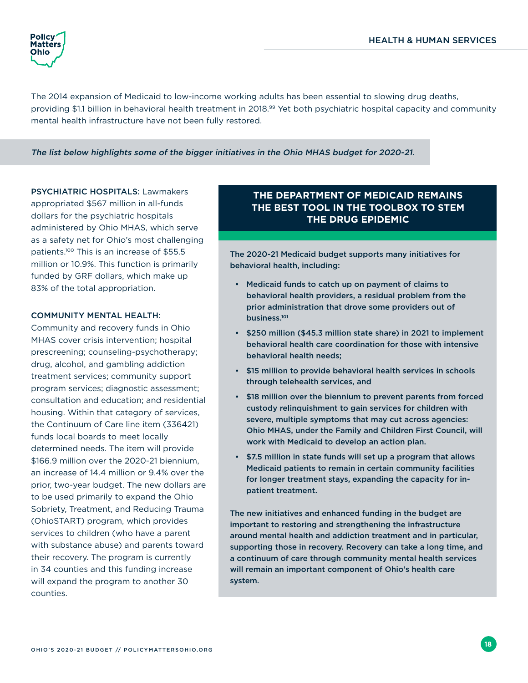

The 2014 expansion of Medicaid to low-income working adults has been essential to slowing drug deaths, providing \$1.1 billion in behavioral health treatment in 2018.<sup>99</sup> Yet both psychiatric hospital capacity and community mental health infrastructure have not been fully restored.

#### The list below highlights some of the bigger initiatives in the Ohio MHAS budget for 2020-21.

PSYCHIATRIC HOSPITALS: Lawmakers appropriated \$567 million in all-funds dollars for the psychiatric hospitals administered by Ohio MHAS, which serve as a safety net for Ohio's most challenging patients.100 This is an increase of \$55.5 million or 10.9%. This function is primarily funded by GRF dollars, which make up 83% of the total appropriation.

#### COMMUNITY MENTAL HEALTH:

Community and recovery funds in Ohio MHAS cover crisis intervention; hospital prescreening; counseling-psychotherapy; drug, alcohol, and gambling addiction treatment services; community support program services; diagnostic assessment; consultation and education; and residential housing. Within that category of services, the Continuum of Care line item (336421) funds local boards to meet locally determined needs. The item will provide \$166.9 million over the 2020-21 biennium, an increase of 14.4 million or 9.4% over the prior, two-year budget. The new dollars are to be used primarily to expand the Ohio Sobriety, Treatment, and Reducing Trauma (OhioSTART) program, which provides services to children (who have a parent with substance abuse) and parents toward their recovery. The program is currently in 34 counties and this funding increase will expand the program to another 30 counties.

### **THE DEPARTMENT OF MEDICAID REMAINS THE BEST TOOL IN THE TOOLBOX TO STEM THE DRUG EPIDEMIC**

The 2020-21 Medicaid budget supports many initiatives for behavioral health, including:

- Medicaid funds to catch up on payment of claims to behavioral health providers, a residual problem from the prior administration that drove some providers out of business.101
- \$250 million (\$45.3 million state share) in 2021 to implement behavioral health care coordination for those with intensive behavioral health needs;
- \$15 million to provide behavioral health services in schools through telehealth services, and
- \$18 million over the biennium to prevent parents from forced custody relinquishment to gain services for children with severe, multiple symptoms that may cut across agencies: Ohio MHAS, under the Family and Children First Council, will work with Medicaid to develop an action plan.
- \$7.5 million in state funds will set up a program that allows Medicaid patients to remain in certain community facilities for longer treatment stays, expanding the capacity for inpatient treatment.

The new initiatives and enhanced funding in the budget are important to restoring and strengthening the infrastructure around mental health and addiction treatment and in particular, supporting those in recovery. Recovery can take a long time, and a continuum of care through community mental health services will remain an important component of Ohio's health care system.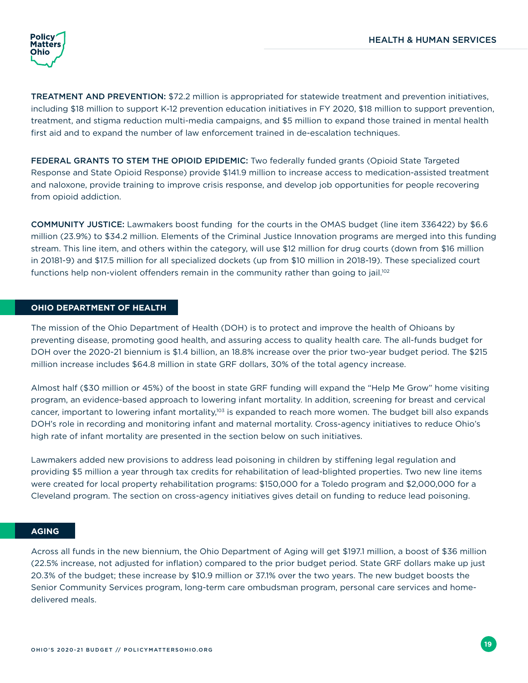

TREATMENT AND PREVENTION: \$72.2 million is appropriated for statewide treatment and prevention initiatives, including \$18 million to support K-12 prevention education initiatives in FY 2020, \$18 million to support prevention, treatment, and stigma reduction multi-media campaigns, and \$5 million to expand those trained in mental health first aid and to expand the number of law enforcement trained in de-escalation techniques.

FEDERAL GRANTS TO STEM THE OPIOID EPIDEMIC: Two federally funded grants (Opioid State Targeted Response and State Opioid Response) provide \$141.9 million to increase access to medication-assisted treatment and naloxone, provide training to improve crisis response, and develop job opportunities for people recovering from opioid addiction.

COMMUNITY JUSTICE: Lawmakers boost funding for the courts in the OMAS budget (line item 336422) by \$6.6 million (23.9%) to \$34.2 million. Elements of the Criminal Justice Innovation programs are merged into this funding stream. This line item, and others within the category, will use \$12 million for drug courts (down from \$16 million in 20181-9) and \$17.5 million for all specialized dockets (up from \$10 million in 2018-19). These specialized court functions help non-violent offenders remain in the community rather than going to jail.<sup>102</sup>

#### **OHIO DEPARTMENT OF HEALTH**

The mission of the Ohio Department of Health (DOH) is to protect and improve the health of Ohioans by preventing disease, promoting good health, and assuring access to quality health care. The all-funds budget for DOH over the 2020-21 biennium is \$1.4 billion, an 18.8% increase over the prior two-year budget period. The \$215 million increase includes \$64.8 million in state GRF dollars, 30% of the total agency increase.

Almost half (\$30 million or 45%) of the boost in state GRF funding will expand the "Help Me Grow" home visiting program, an evidence-based approach to lowering infant mortality. In addition, screening for breast and cervical cancer, important to lowering infant mortality,<sup>103</sup> is expanded to reach more women. The budget bill also expands DOH's role in recording and monitoring infant and maternal mortality. Cross-agency initiatives to reduce Ohio's high rate of infant mortality are presented in the section below on such initiatives.

Lawmakers added new provisions to address lead poisoning in children by stiffening legal regulation and providing \$5 million a year through tax credits for rehabilitation of lead-blighted properties. Two new line items were created for local property rehabilitation programs: \$150,000 for a Toledo program and \$2,000,000 for a Cleveland program. The section on cross-agency initiatives gives detail on funding to reduce lead poisoning.

#### **AGING**

Across all funds in the new biennium, the Ohio Department of Aging will get \$197.1 million, a boost of \$36 million (22.5% increase, not adjusted for inflation) compared to the prior budget period. State GRF dollars make up just 20.3% of the budget; these increase by \$10.9 million or 37.1% over the two years. The new budget boosts the Senior Community Services program, long-term care ombudsman program, personal care services and homedelivered meals.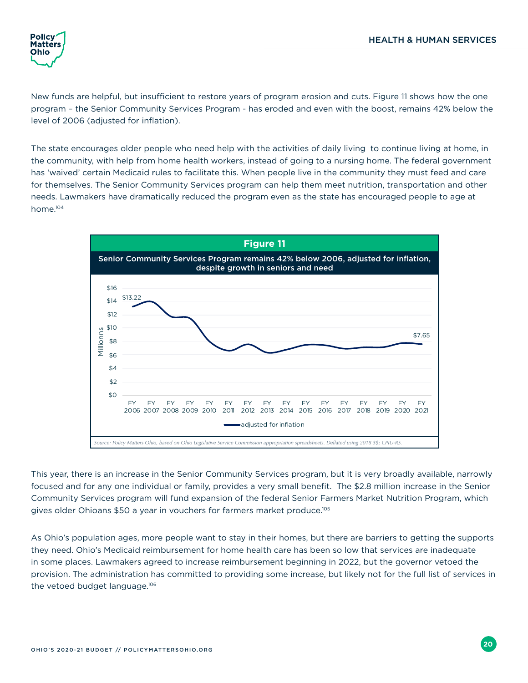<span id="page-23-0"></span>

New funds are helpful, but insufficient to restore years of program erosion and cuts. Figure 11 shows how the one program – the Senior Community Services Program - has eroded and even with the boost, remains 42% below the level of 2006 (adjusted for inflation).

The state encourages older people who need help with the activities of daily living to continue living at home, in the community, with help from home health workers, instead of going to a nursing home. The federal government has 'waived' certain Medicaid rules to facilitate this. When people live in the community they must feed and care for themselves. The Senior Community Services program can help them meet nutrition, transportation and other needs. Lawmakers have dramatically reduced the program even as the state has encouraged people to age at home.104



This year, there is an increase in the Senior Community Services program, but it is very broadly available, narrowly focused and for any one individual or family, provides a very small benefit. The \$2.8 million increase in the Senior Community Services program will fund expansion of the federal Senior Farmers Market Nutrition Program, which gives older Ohioans \$50 a year in vouchers for farmers market produce.105

As Ohio's population ages, more people want to stay in their homes, but there are barriers to getting the supports they need. Ohio's Medicaid reimbursement for home health care has been so low that services are inadequate in some places. Lawmakers agreed to increase reimbursement beginning in 2022, but the governor vetoed the provision. The administration has committed to providing some increase, but likely not for the full list of services in the vetoed budget language.<sup>106</sup>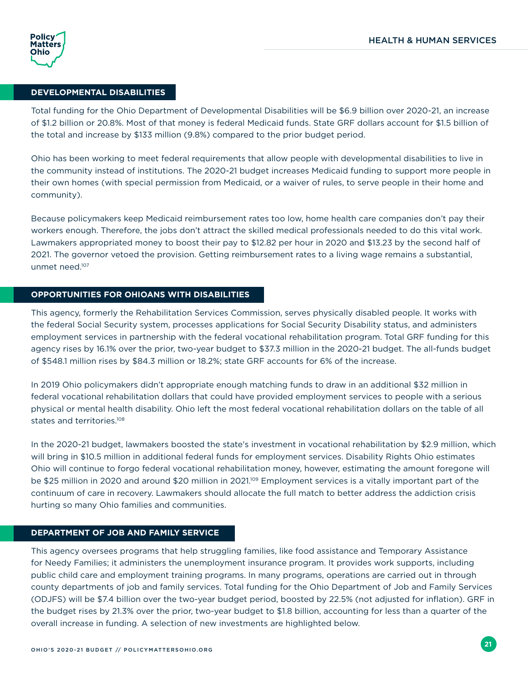#### **DEVELOPMENTAL DISABILITIES**

Total funding for the Ohio Department of Developmental Disabilities will be \$6.9 billion over 2020-21, an increase of \$1.2 billion or 20.8%. Most of that money is federal Medicaid funds. State GRF dollars account for \$1.5 billion of the total and increase by \$133 million (9.8%) compared to the prior budget period.

Ohio has been working to meet federal requirements that allow people with developmental disabilities to live in the community instead of institutions. The 2020-21 budget increases Medicaid funding to support more people in their own homes (with special permission from Medicaid, or a waiver of rules, to serve people in their home and community).

Because policymakers keep Medicaid reimbursement rates too low, home health care companies don't pay their workers enough. Therefore, the jobs don't attract the skilled medical professionals needed to do this vital work. Lawmakers appropriated money to boost their pay to \$12.82 per hour in 2020 and \$13.23 by the second half of 2021. The governor vetoed the provision. Getting reimbursement rates to a living wage remains a substantial, unmet need.107

#### **OPPORTUNITIES FOR OHIOANS WITH DISABILITIES**

This agency, formerly the Rehabilitation Services Commission, serves physically disabled people. It works with the federal Social Security system, processes applications for Social Security Disability status, and administers employment services in partnership with the federal vocational rehabilitation program. Total GRF funding for this agency rises by 16.1% over the prior, two-year budget to \$37.3 million in the 2020-21 budget. The all-funds budget of \$548.1 million rises by \$84.3 million or 18.2%; state GRF accounts for 6% of the increase.

In 2019 Ohio policymakers didn't appropriate enough matching funds to draw in an additional \$32 million in federal vocational rehabilitation dollars that could have provided employment services to people with a serious physical or mental health disability. Ohio left the most federal vocational rehabilitation dollars on the table of all states and territories.<sup>108</sup>

In the 2020-21 budget, lawmakers boosted the state's investment in vocational rehabilitation by \$2.9 million, which will bring in \$10.5 million in additional federal funds for employment services. Disability Rights Ohio estimates Ohio will continue to forgo federal vocational rehabilitation money, however, estimating the amount foregone will be \$25 million in 2020 and around \$20 million in 2021.<sup>109</sup> Employment services is a vitally important part of the continuum of care in recovery. Lawmakers should allocate the full match to better address the addiction crisis hurting so many Ohio families and communities.

#### **DEPARTMENT OF JOB AND FAMILY SERVICE**

This agency oversees programs that help struggling families, like food assistance and Temporary Assistance for Needy Families; it administers the unemployment insurance program. It provides work supports, including public child care and employment training programs. In many programs, operations are carried out in through county departments of job and family services. Total funding for the Ohio Department of Job and Family Services (ODJFS) will be \$7.4 billion over the two-year budget period, boosted by 22.5% (not adjusted for inflation). GRF in the budget rises by 21.3% over the prior, two-year budget to \$1.8 billion, accounting for less than a quarter of the overall increase in funding. A selection of new investments are highlighted below.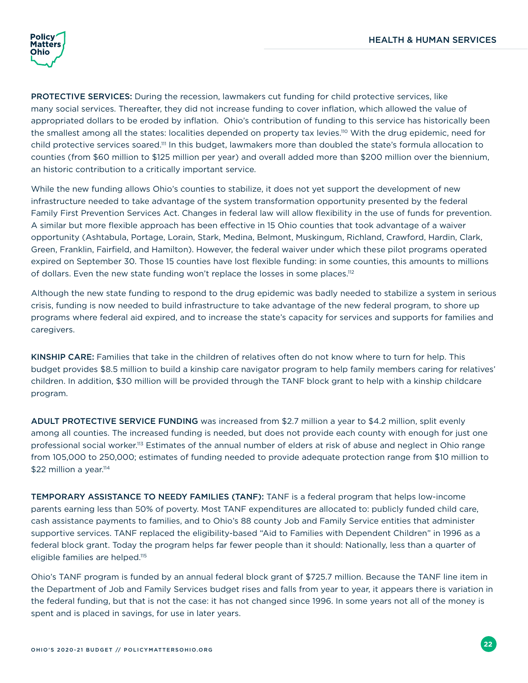

PROTECTIVE SERVICES: During the recession, lawmakers cut funding for child protective services, like many social services. Thereafter, they did not increase funding to cover inflation, which allowed the value of appropriated dollars to be eroded by inflation. Ohio's contribution of funding to this service has historically been the smallest among all the states: localities depended on property tax levies.<sup>110</sup> With the drug epidemic, need for child protective services soared.111 In this budget, lawmakers more than doubled the state's formula allocation to counties (from \$60 million to \$125 million per year) and overall added more than \$200 million over the biennium, an historic contribution to a critically important service.

While the new funding allows Ohio's counties to stabilize, it does not yet support the development of new infrastructure needed to take advantage of the system transformation opportunity presented by the federal Family First Prevention Services Act. Changes in federal law will allow flexibility in the use of funds for prevention. A similar but more flexible approach has been effective in 15 Ohio counties that took advantage of a waiver opportunity (Ashtabula, Portage, Lorain, Stark, Medina, Belmont, Muskingum, Richland, Crawford, Hardin, Clark, Green, Franklin, Fairfield, and Hamilton). However, the federal waiver under which these pilot programs operated expired on September 30. Those 15 counties have lost flexible funding: in some counties, this amounts to millions of dollars. Even the new state funding won't replace the losses in some places.112

Although the new state funding to respond to the drug epidemic was badly needed to stabilize a system in serious crisis, funding is now needed to build infrastructure to take advantage of the new federal program, to shore up programs where federal aid expired, and to increase the state's capacity for services and supports for families and caregivers.

KINSHIP CARE: Families that take in the children of relatives often do not know where to turn for help. This budget provides \$8.5 million to build a kinship care navigator program to help family members caring for relatives' children. In addition, \$30 million will be provided through the TANF block grant to help with a kinship childcare program.

ADULT PROTECTIVE SERVICE FUNDING was increased from \$2.7 million a year to \$4.2 million, split evenly among all counties. The increased funding is needed, but does not provide each county with enough for just one professional social worker.<sup>113</sup> Estimates of the annual number of elders at risk of abuse and neglect in Ohio range from 105,000 to 250,000; estimates of funding needed to provide adequate protection range from \$10 million to \$22 million a year.<sup>114</sup>

TEMPORARY ASSISTANCE TO NEEDY FAMILIES (TANF): TANF is a federal program that helps low-income parents earning less than 50% of poverty. Most TANF expenditures are allocated to: publicly funded child care, cash assistance payments to families, and to Ohio's 88 county Job and Family Service entities that administer supportive services. TANF replaced the eligibility-based "Aid to Families with Dependent Children" in 1996 as a federal block grant. Today the program helps far fewer people than it should: Nationally, less than a quarter of eligible families are helped.<sup>115</sup>

Ohio's TANF program is funded by an annual federal block grant of \$725.7 million. Because the TANF line item in the Department of Job and Family Services budget rises and falls from year to year, it appears there is variation in the federal funding, but that is not the case: it has not changed since 1996. In some years not all of the money is spent and is placed in savings, for use in later years.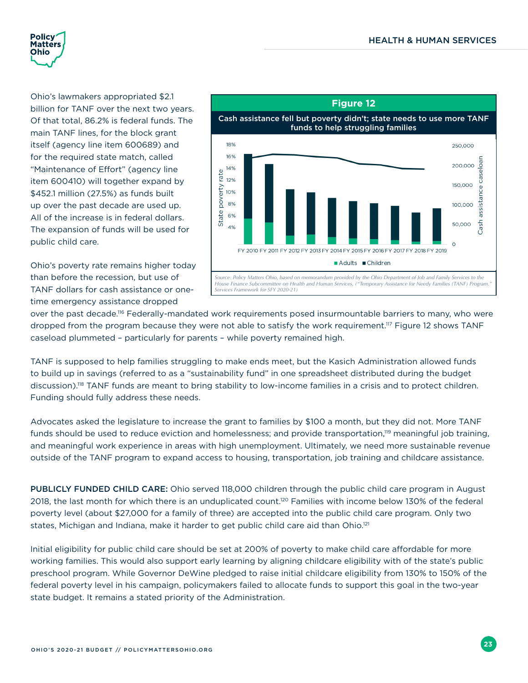<span id="page-26-0"></span>

Ohio's lawmakers appropriated \$2.1 billion for TANF over the next two years. Of that total, 86.2% is federal funds. The main TANF lines, for the block grant itself (agency line item 600689) and for the required state match, called "Maintenance of Effort" (agency line item 600410) will together expand by \$452.1 million (27.5%) as funds built up over the past decade are used up. All of the increase is in federal dollars. The expansion of funds will be used for public child care.

Ohio's poverty rate remains higher today than before the recession, but use of TANF dollars for cash assistance or onetime emergency assistance dropped



over the past decade.<sup>116</sup> Federally-mandated work requirements posed insurmountable barriers to many, who were dropped from the program because they were not able to satisfy the work requirement.117 Figure 12 shows TANF caseload plummeted – particularly for parents – while poverty remained high.

TANF is supposed to help families struggling to make ends meet, but the Kasich Administration allowed funds to build up in savings (referred to as a "sustainability fund" in one spreadsheet distributed during the budget discussion).118 TANF funds are meant to bring stability to low-income families in a crisis and to protect children. Funding should fully address these needs.

Advocates asked the legislature to increase the grant to families by \$100 a month, but they did not. More TANF funds should be used to reduce eviction and homelessness; and provide transportation,<sup>119</sup> meaningful job training, and meaningful work experience in areas with high unemployment. Ultimately, we need more sustainable revenue outside of the TANF program to expand access to housing, transportation, job training and childcare assistance.

PUBLICLY FUNDED CHILD CARE: Ohio served 118,000 children through the public child care program in August 2018, the last month for which there is an unduplicated count.120 Families with income below 130% of the federal poverty level (about \$27,000 for a family of three) are accepted into the public child care program. Only two states, Michigan and Indiana, make it harder to get public child care aid than Ohio.<sup>121</sup>

Initial eligibility for public child care should be set at 200% of poverty to make child care affordable for more working families. This would also support early learning by aligning childcare eligibility with of the state's public preschool program. While Governor DeWine pledged to raise initial childcare eligibility from 130% to 150% of the federal poverty level in his campaign, policymakers failed to allocate funds to support this goal in the two-year state budget. It remains a stated priority of the Administration.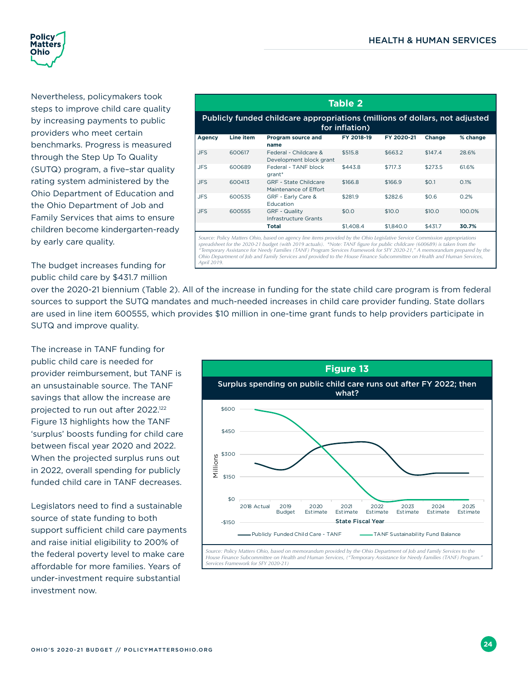<span id="page-27-0"></span>

Nevertheless, policymakers took steps to improve child care quality by increasing payments to public providers who meet certain benchmarks. Progress is measured through the Step Up To Quality (SUTQ) program, a five–star quality rating system administered by the Ohio Department of Education and the Ohio Department of Job and Family Services that aims to ensure children become kindergarten-ready by early care quality.

The budget increases funding for public child care by \$431.7 million

|                                                                                               |           |                                                       | Table 2    |            |         |          |  |  |
|-----------------------------------------------------------------------------------------------|-----------|-------------------------------------------------------|------------|------------|---------|----------|--|--|
| Publicly funded childcare appropriations (millions of dollars, not adjusted<br>for inflation) |           |                                                       |            |            |         |          |  |  |
| Agency                                                                                        | Line item | Program source and<br>name                            | FY 2018-19 | FY 2020-21 | Change  | % change |  |  |
| <b>JFS</b>                                                                                    | 600617    | Federal - Childcare &<br>Development block grant      | \$515.8    | \$663.2    | \$147.4 | 28.6%    |  |  |
| JFS.                                                                                          | 600689    | Federal - TANF block<br>grant*                        | \$443.8    | \$717.3    | \$273.5 | 61.6%    |  |  |
| <b>JFS</b>                                                                                    | 600413    | <b>GRF</b> - State Childcare<br>Maintenance of Effort | \$166.8    | \$166.9    | \$0.1   | 0.1%     |  |  |
| <b>JFS</b>                                                                                    | 600535    | GRF - Early Care &<br>Education                       | \$281.9    | \$282.6    | \$0.6   | 0.2%     |  |  |
| <b>JFS</b>                                                                                    | 600555    | <b>GRF - Quality</b><br>Infrastructure Grants         | \$0.0      | \$10.0     | \$10.0  | 100.0%   |  |  |
|                                                                                               |           | Total                                                 | \$1,408.4  | \$1,840.0  | \$431.7 | 30.7%    |  |  |

Source: Policy Matters Ohio, based on agency line items provided by the Ohio Legislative Service Commission appropriations<br>spreadsheet for the 2020-21 budget (with 2019 actuals). \*Note: TANF figure for public childcare (6 *"Temporary Assistance for Needy Families (TANF) Program Services Framework for SFY 2020-21," A memorandum prepared by the Ohio Department of Job and Family Services and provided to the House Finance Subcommittee on Health and Human Services, April 2019.* 

over the 2020-21 biennium (Table 2). All of the increase in funding for the state child care program is from federal sources to support the SUTQ mandates and much-needed increases in child care provider funding. State dollars are used in line item 600555, which provides \$10 million in one-time grant funds to help providers participate in SUTQ and improve quality.

The increase in TANF funding for public child care is needed for provider reimbursement, but TANF is an unsustainable source. The TANF savings that allow the increase are projected to run out after 2022.122 Figure 13 highlights how the TANF 'surplus' boosts funding for child care between fiscal year 2020 and 2022. When the projected surplus runs out in 2022, overall spending for publicly funded child care in TANF decreases.

Legislators need to find a sustainable source of state funding to both support sufficient child care payments and raise initial eligibility to 200% of the federal poverty level to make care affordable for more families. Years of under-investment require substantial investment now.

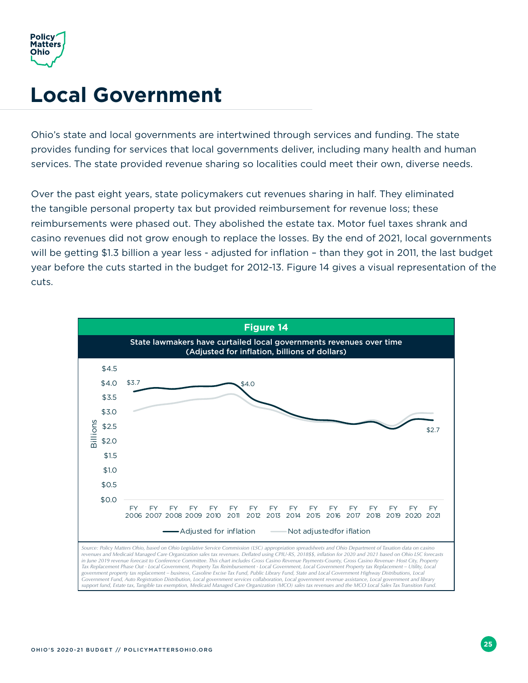<span id="page-28-0"></span>

### **Local Government**

Ohio's state and local governments are intertwined through services and funding. The state provides funding for services that local governments deliver, including many health and human services. The state provided revenue sharing so localities could meet their own, diverse needs.

Over the past eight years, state policymakers cut revenues sharing in half. They eliminated the tangible personal property tax but provided reimbursement for revenue loss; these reimbursements were phased out. They abolished the estate tax. Motor fuel taxes shrank and casino revenues did not grow enough to replace the losses. By the end of 2021, local governments will be getting \$1.3 billion a year less - adjusted for inflation – than they got in 2011, the last budget year before the cuts started in the budget for 2012-13. Figure 14 gives a visual representation of the cuts.

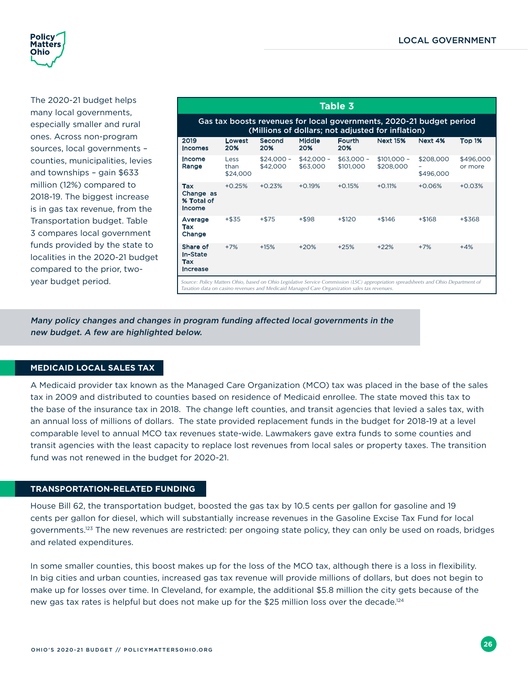<span id="page-29-0"></span>

The 2020-21 budget helps many local governments, especially smaller and rural ones. Across non-program sources, local governments – counties, municipalities, levies and townships – gain \$633 million (12%) compared to 2018-19. The biggest increase is in gas tax revenue, from the Transportation budget. Table 3 compares local government funds provided by the state to localities in the 2020-21 budget compared to the prior, twoyear budget period.

| Table 3                                                                                                                                                                                                                          |                          |                         |                         |                          |                           |                        |                      |
|----------------------------------------------------------------------------------------------------------------------------------------------------------------------------------------------------------------------------------|--------------------------|-------------------------|-------------------------|--------------------------|---------------------------|------------------------|----------------------|
| Gas tax boosts revenues for local governments, 2020-21 budget period<br>(Millions of dollars; not adjusted for inflation)                                                                                                        |                          |                         |                         |                          |                           |                        |                      |
| 2019<br>Incomes                                                                                                                                                                                                                  | Lowest<br>20%            | Second<br>20%           | <b>Middle</b><br>20%    | Fourth<br>20%            | <b>Next 15%</b>           | Next 4%                | Top 1%               |
| Income<br>Range                                                                                                                                                                                                                  | Less<br>than<br>\$24,000 | $$24,000 -$<br>\$42,000 | $$42,000 -$<br>\$63,000 | $$63,000 -$<br>\$101,000 | $$101,000 -$<br>\$208,000 | \$208,000<br>\$496,000 | \$496,000<br>or more |
| Tax<br>Change as<br>% Total of<br>Income                                                                                                                                                                                         | $+0.25%$                 | $+0.23%$                | $+0.19%$                | $+0.15%$                 | $+0.11%$                  | $+0.06%$               | $+0.03%$             |
| Average<br>Tax<br>Change                                                                                                                                                                                                         | $+ $35$                  | $+ $75$                 | $+ $98$                 | $+ $120$                 | $+ $146$                  | $+ $168$               | +\$368               |
| Share of<br>In-State<br>Tax<br>Increase                                                                                                                                                                                          | $+7%$                    | $+15%$                  | $+20%$                  | $+25%$                   | $+22%$                    | $+7%$                  | $+4%$                |
| Source: Policy Matters Ohio, based on Ohio Legislative Service Commission (LSC) appropriation spreadsheets and Ohio Department of<br>Taxation data on casino revenues and Medicaid Managed Care Organization sales tax revenues. |                          |                         |                         |                          |                           |                        |                      |

Many policy changes and changes in program funding affected local governments in the new budget. A few are highlighted below.

#### **MEDICAID LOCAL SALES TAX**

A Medicaid provider tax known as the Managed Care Organization (MCO) tax was placed in the base of the sales tax in 2009 and distributed to counties based on residence of Medicaid enrollee. The state moved this tax to the base of the insurance tax in 2018. The change left counties, and transit agencies that levied a sales tax, with an annual loss of millions of dollars. The state provided replacement funds in the budget for 2018-19 at a level comparable level to annual MCO tax revenues state-wide. Lawmakers gave extra funds to some counties and transit agencies with the least capacity to replace lost revenues from local sales or property taxes. The transition fund was not renewed in the budget for 2020-21.

#### **TRANSPORTATION-RELATED FUNDING**

House Bill 62, the transportation budget, boosted the gas tax by 10.5 cents per gallon for gasoline and 19 cents per gallon for diesel, which will substantially increase revenues in the Gasoline Excise Tax Fund for local governments.<sup>123</sup> The new revenues are restricted: per ongoing state policy, they can only be used on roads, bridges and related expenditures.

In some smaller counties, this boost makes up for the loss of the MCO tax, although there is a loss in flexibility. In big cities and urban counties, increased gas tax revenue will provide millions of dollars, but does not begin to make up for losses over time. In Cleveland, for example, the additional \$5.8 million the city gets because of the new gas tax rates is helpful but does not make up for the \$25 million loss over the decade.<sup>124</sup>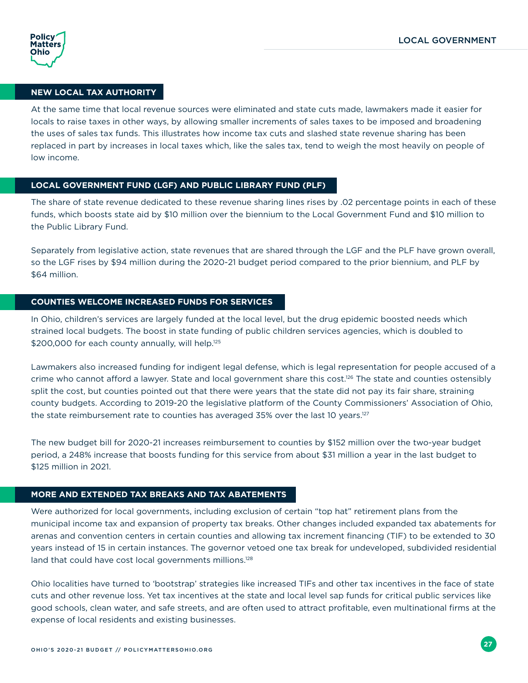

#### **NEW LOCAL TAX AUTHORITY**

At the same time that local revenue sources were eliminated and state cuts made, lawmakers made it easier for locals to raise taxes in other ways, by allowing smaller increments of sales taxes to be imposed and broadening the uses of sales tax funds. This illustrates how income tax cuts and slashed state revenue sharing has been replaced in part by increases in local taxes which, like the sales tax, tend to weigh the most heavily on people of low income.

#### **LOCAL GOVERNMENT FUND (LGF) AND PUBLIC LIBRARY FUND (PLF)**

The share of state revenue dedicated to these revenue sharing lines rises by .02 percentage points in each of these funds, which boosts state aid by \$10 million over the biennium to the Local Government Fund and \$10 million to the Public Library Fund.

Separately from legislative action, state revenues that are shared through the LGF and the PLF have grown overall, so the LGF rises by \$94 million during the 2020-21 budget period compared to the prior biennium, and PLF by \$64 million.

#### **COUNTIES WELCOME INCREASED FUNDS FOR SERVICES**

In Ohio, children's services are largely funded at the local level, but the drug epidemic boosted needs which strained local budgets. The boost in state funding of public children services agencies, which is doubled to \$200,000 for each county annually, will help.<sup>125</sup>

Lawmakers also increased funding for indigent legal defense, which is legal representation for people accused of a crime who cannot afford a lawyer. State and local government share this cost.<sup>126</sup> The state and counties ostensibly split the cost, but counties pointed out that there were years that the state did not pay its fair share, straining county budgets. According to 2019-20 the legislative platform of the County Commissioners' Association of Ohio, the state reimbursement rate to counties has averaged 35% over the last 10 years. $127$ 

The new budget bill for 2020-21 increases reimbursement to counties by \$152 million over the two-year budget period, a 248% increase that boosts funding for this service from about \$31 million a year in the last budget to \$125 million in 2021.

#### **MORE AND EXTENDED TAX BREAKS AND TAX ABATEMENTS**

Were authorized for local governments, including exclusion of certain "top hat" retirement plans from the municipal income tax and expansion of property tax breaks. Other changes included expanded tax abatements for arenas and convention centers in certain counties and allowing tax increment financing (TIF) to be extended to 30 years instead of 15 in certain instances. The governor vetoed one tax break for undeveloped, subdivided residential land that could have cost local governments millions.<sup>128</sup>

Ohio localities have turned to 'bootstrap' strategies like increased TIFs and other tax incentives in the face of state cuts and other revenue loss. Yet tax incentives at the state and local level sap funds for critical public services like good schools, clean water, and safe streets, and are often used to attract profitable, even multinational firms at the expense of local residents and existing businesses.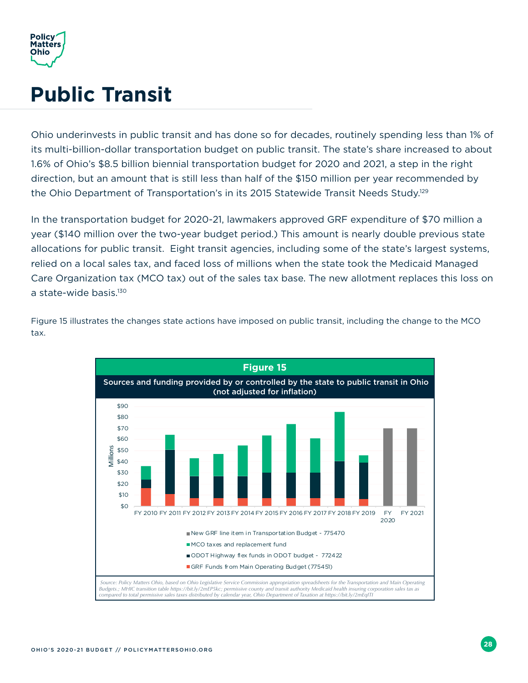<span id="page-31-0"></span>

## **Public Transit**

Ohio underinvests in public transit and has done so for decades, routinely spending less than 1% of its multi-billion-dollar transportation budget on public transit. The state's share increased to about 1.6% of Ohio's \$8.5 billion biennial transportation budget for 2020 and 2021, a step in the right direction, but an amount that is still less than half of the \$150 million per year recommended by the Ohio Department of Transportation's in its 2015 Statewide Transit Needs Study.<sup>129</sup>

In the transportation budget for 2020-21, lawmakers approved GRF expenditure of \$70 million a year (\$140 million over the two-year budget period.) This amount is nearly double previous state allocations for public transit. Eight transit agencies, including some of the state's largest systems, relied on a local sales tax, and faced loss of millions when the state took the Medicaid Managed Care Organization tax (MCO tax) out of the sales tax base. The new allotment replaces this loss on a state-wide basis.<sup>130</sup>



Figure 15 illustrates the changes state actions have imposed on public transit, including the change to the MCO tax.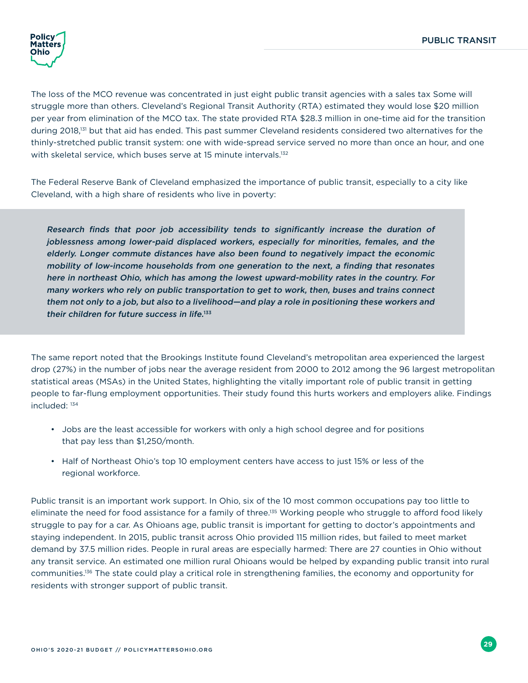

The loss of the MCO revenue was concentrated in just eight public transit agencies with a sales tax Some will struggle more than others. Cleveland's Regional Transit Authority (RTA) estimated they would lose \$20 million per year from elimination of the MCO tax. The state provided RTA \$28.3 million in one-time aid for the transition during 2018,<sup>131</sup> but that aid has ended. This past summer Cleveland residents considered two alternatives for the thinly-stretched public transit system: one with wide-spread service served no more than once an hour, and one with skeletal service, which buses serve at 15 minute intervals.<sup>132</sup>

The Federal Reserve Bank of Cleveland emphasized the importance of public transit, especially to a city like Cleveland, with a high share of residents who live in poverty:

Research finds that poor job accessibility tends to significantly increase the duration of joblessness among lower-paid displaced workers, especially for minorities, females, and the elderly. Longer commute distances have also been found to negatively impact the economic mobility of low-income households from one generation to the next, a finding that resonates here in northeast Ohio, which has among the lowest upward-mobility rates in the country. For many workers who rely on public transportation to get to work, then, buses and trains connect them not only to a job, but also to a livelihood—and play a role in positioning these workers and their children for future success in life.<sup>133</sup>

The same report noted that the Brookings Institute found Cleveland's metropolitan area experienced the largest drop (27%) in the number of jobs near the average resident from 2000 to 2012 among the 96 largest metropolitan statistical areas (MSAs) in the United States, highlighting the vitally important role of public transit in getting people to far-flung employment opportunities. Their study found this hurts workers and employers alike. Findings included: 134

- Jobs are the least accessible for workers with only a high school degree and for positions that pay less than \$1,250/month.
- Half of Northeast Ohio's top 10 employment centers have access to just 15% or less of the regional workforce.

Public transit is an important work support. In Ohio, six of the 10 most common occupations pay too little to eliminate the need for food assistance for a family of three.<sup>135</sup> Working people who struggle to afford food likely struggle to pay for a car. As Ohioans age, public transit is important for getting to doctor's appointments and staying independent. In 2015, public transit across Ohio provided 115 million rides, but failed to meet market demand by 37.5 million rides. People in rural areas are especially harmed: There are 27 counties in Ohio without any transit service. An estimated one million rural Ohioans would be helped by expanding public transit into rural communities.136 The state could play a critical role in strengthening families, the economy and opportunity for residents with stronger support of public transit.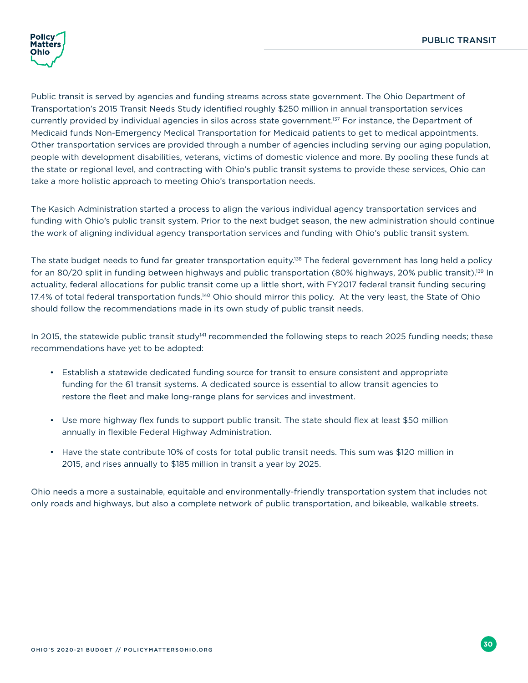

Public transit is served by agencies and funding streams across state government. The Ohio Department of Transportation's 2015 Transit Needs Study identified roughly \$250 million in annual transportation services currently provided by individual agencies in silos across state government.137 For instance, the Department of Medicaid funds Non-Emergency Medical Transportation for Medicaid patients to get to medical appointments. Other transportation services are provided through a number of agencies including serving our aging population, people with development disabilities, veterans, victims of domestic violence and more. By pooling these funds at the state or regional level, and contracting with Ohio's public transit systems to provide these services, Ohio can take a more holistic approach to meeting Ohio's transportation needs.

The Kasich Administration started a process to align the various individual agency transportation services and funding with Ohio's public transit system. Prior to the next budget season, the new administration should continue the work of aligning individual agency transportation services and funding with Ohio's public transit system.

The state budget needs to fund far greater transportation equity.<sup>138</sup> The federal government has long held a policy for an 80/20 split in funding between highways and public transportation (80% highways, 20% public transit).139 In actuality, federal allocations for public transit come up a little short, with FY2017 federal transit funding securing 17.4% of total federal transportation funds.<sup>140</sup> Ohio should mirror this policy. At the very least, the State of Ohio should follow the recommendations made in its own study of public transit needs.

In 2015, the statewide public transit study<sup>141</sup> recommended the following steps to reach 2025 funding needs; these recommendations have yet to be adopted:

- Establish a statewide dedicated funding source for transit to ensure consistent and appropriate funding for the 61 transit systems. A dedicated source is essential to allow transit agencies to restore the fleet and make long-range plans for services and investment.
- Use more highway flex funds to support public transit. The state should flex at least \$50 million annually in flexible Federal Highway Administration.
- Have the state contribute 10% of costs for total public transit needs. This sum was \$120 million in 2015, and rises annually to \$185 million in transit a year by 2025.

Ohio needs a more a sustainable, equitable and environmentally-friendly transportation system that includes not only roads and highways, but also a complete network of public transportation, and bikeable, walkable streets.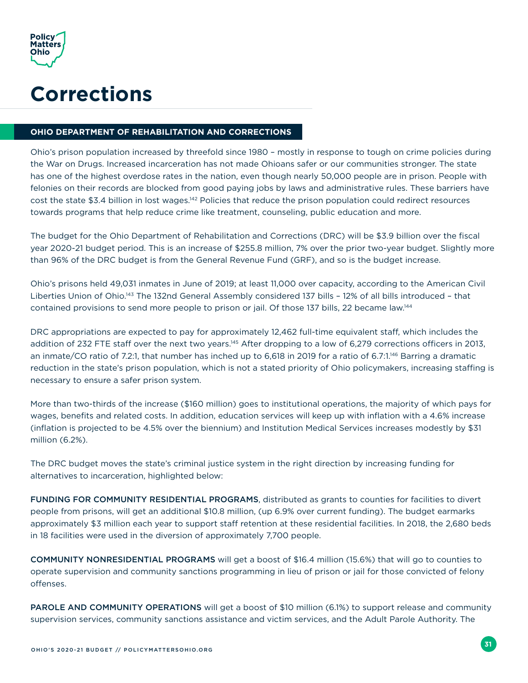<span id="page-34-0"></span>

### **Corrections**

#### **OHIO DEPARTMENT OF REHABILITATION AND CORRECTIONS**

Ohio's prison population increased by threefold since 1980 – mostly in response to tough on crime policies during the War on Drugs. Increased incarceration has not made Ohioans safer or our communities stronger. The state has one of the highest overdose rates in the nation, even though nearly 50,000 people are in prison. People with felonies on their records are blocked from good paying jobs by laws and administrative rules. These barriers have cost the state \$3.4 billion in lost wages.142 Policies that reduce the prison population could redirect resources towards programs that help reduce crime like treatment, counseling, public education and more.

The budget for the Ohio Department of Rehabilitation and Corrections (DRC) will be \$3.9 billion over the fiscal year 2020-21 budget period. This is an increase of \$255.8 million, 7% over the prior two-year budget. Slightly more than 96% of the DRC budget is from the General Revenue Fund (GRF), and so is the budget increase.

Ohio's prisons held 49,031 inmates in June of 2019; at least 11,000 over capacity, according to the American Civil Liberties Union of Ohio.143 The 132nd General Assembly considered 137 bills – 12% of all bills introduced – that contained provisions to send more people to prison or jail. Of those 137 bills, 22 became law.144

DRC appropriations are expected to pay for approximately 12,462 full-time equivalent staff, which includes the addition of 232 FTE staff over the next two years.145 After dropping to a low of 6,279 corrections officers in 2013, an inmate/CO ratio of 7.2:1, that number has inched up to 6,618 in 2019 for a ratio of 6.7:1.146 Barring a dramatic reduction in the state's prison population, which is not a stated priority of Ohio policymakers, increasing staffing is necessary to ensure a safer prison system.

More than two-thirds of the increase (\$160 million) goes to institutional operations, the majority of which pays for wages, benefits and related costs. In addition, education services will keep up with inflation with a 4.6% increase (inflation is projected to be 4.5% over the biennium) and Institution Medical Services increases modestly by \$31 million (6.2%).

The DRC budget moves the state's criminal justice system in the right direction by increasing funding for alternatives to incarceration, highlighted below:

FUNDING FOR COMMUNITY RESIDENTIAL PROGRAMS, distributed as grants to counties for facilities to divert people from prisons, will get an additional \$10.8 million, (up 6.9% over current funding). The budget earmarks approximately \$3 million each year to support staff retention at these residential facilities. In 2018, the 2,680 beds in 18 facilities were used in the diversion of approximately 7,700 people.

COMMUNITY NONRESIDENTIAL PROGRAMS will get a boost of \$16.4 million (15.6%) that will go to counties to operate supervision and community sanctions programming in lieu of prison or jail for those convicted of felony offenses.

PAROLE AND COMMUNITY OPERATIONS will get a boost of \$10 million (6.1%) to support release and community supervision services, community sanctions assistance and victim services, and the Adult Parole Authority. The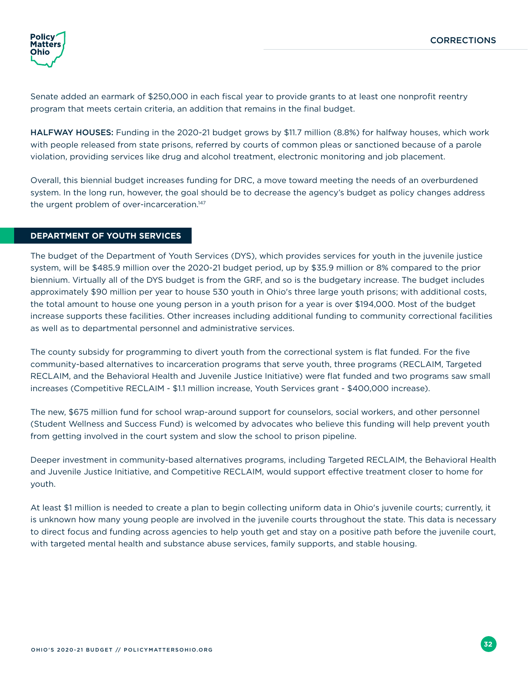

Senate added an earmark of \$250,000 in each fiscal year to provide grants to at least one nonprofit reentry program that meets certain criteria, an addition that remains in the final budget.

HALFWAY HOUSES: Funding in the 2020-21 budget grows by \$11.7 million (8.8%) for halfway houses, which work with people released from state prisons, referred by courts of common pleas or sanctioned because of a parole violation, providing services like drug and alcohol treatment, electronic monitoring and job placement.

Overall, this biennial budget increases funding for DRC, a move toward meeting the needs of an overburdened system. In the long run, however, the goal should be to decrease the agency's budget as policy changes address the urgent problem of over-incarceration.<sup>147</sup>

#### **DEPARTMENT OF YOUTH SERVICES**

The budget of the Department of Youth Services (DYS), which provides services for youth in the juvenile justice system, will be \$485.9 million over the 2020-21 budget period, up by \$35.9 million or 8% compared to the prior biennium. Virtually all of the DYS budget is from the GRF, and so is the budgetary increase. The budget includes approximately \$90 million per year to house 530 youth in Ohio's three large youth prisons; with additional costs, the total amount to house one young person in a youth prison for a year is over \$194,000. Most of the budget increase supports these facilities. Other increases including additional funding to community correctional facilities as well as to departmental personnel and administrative services.

The county subsidy for programming to divert youth from the correctional system is flat funded. For the five community-based alternatives to incarceration programs that serve youth, three programs (RECLAIM, Targeted RECLAIM, and the Behavioral Health and Juvenile Justice Initiative) were flat funded and two programs saw small increases (Competitive RECLAIM - \$1.1 million increase, Youth Services grant - \$400,000 increase).

The new, \$675 million fund for school wrap-around support for counselors, social workers, and other personnel (Student Wellness and Success Fund) is welcomed by advocates who believe this funding will help prevent youth from getting involved in the court system and slow the school to prison pipeline.

Deeper investment in community-based alternatives programs, including Targeted RECLAIM, the Behavioral Health and Juvenile Justice Initiative, and Competitive RECLAIM, would support effective treatment closer to home for youth.

At least \$1 million is needed to create a plan to begin collecting uniform data in Ohio's juvenile courts; currently, it is unknown how many young people are involved in the juvenile courts throughout the state. This data is necessary to direct focus and funding across agencies to help youth get and stay on a positive path before the juvenile court, with targeted mental health and substance abuse services, family supports, and stable housing.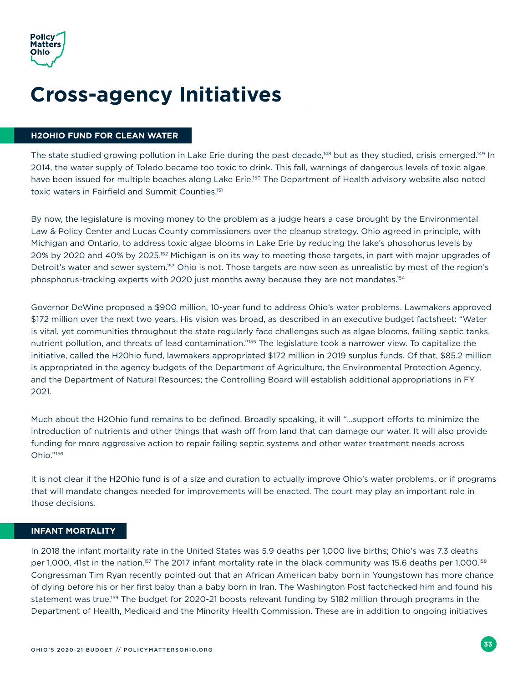<span id="page-36-0"></span>

## **Cross-agency Initiatives**

#### **H2OHIO FUND FOR CLEAN WATER**

The state studied growing pollution in Lake Erie during the past decade,<sup>148</sup> but as they studied, crisis emerged.<sup>149</sup> In 2014, the water supply of Toledo became too toxic to drink. This fall, warnings of dangerous levels of toxic algae have been issued for multiple beaches along Lake Erie.<sup>150</sup> The Department of Health advisory website also noted toxic waters in Fairfield and Summit Counties.151

By now, the legislature is moving money to the problem as a judge hears a case brought by the Environmental Law & Policy Center and Lucas County commissioners over the cleanup strategy. Ohio agreed in principle, with Michigan and Ontario, to address toxic algae blooms in Lake Erie by reducing the lake's phosphorus levels by 20% by 2020 and 40% by 2025.152 Michigan is on its way to meeting those targets, in part with major upgrades of Detroit's water and sewer system.153 Ohio is not. Those targets are now seen as unrealistic by most of the region's phosphorus-tracking experts with 2020 just months away because they are not mandates.<sup>154</sup>

Governor DeWine proposed a \$900 million, 10-year fund to address Ohio's water problems. Lawmakers approved \$172 million over the next two years. His vision was broad, as described in an executive budget factsheet: "Water is vital, yet communities throughout the state regularly face challenges such as algae blooms, failing septic tanks, nutrient pollution, and threats of lead contamination."155 The legislature took a narrower view. To capitalize the initiative, called the H20hio fund, lawmakers appropriated \$172 million in 2019 surplus funds. Of that, \$85.2 million is appropriated in the agency budgets of the Department of Agriculture, the Environmental Protection Agency, and the Department of Natural Resources; the Controlling Board will establish additional appropriations in FY 2021.

Much about the H2Ohio fund remains to be defined. Broadly speaking, it will "…support efforts to minimize the introduction of nutrients and other things that wash off from land that can damage our water. It will also provide funding for more aggressive action to repair failing septic systems and other water treatment needs across Ohio."156

It is not clear if the H2Ohio fund is of a size and duration to actually improve Ohio's water problems, or if programs that will mandate changes needed for improvements will be enacted. The court may play an important role in those decisions.

#### **INFANT MORTALITY**

In 2018 the infant mortality rate in the United States was 5.9 deaths per 1,000 live births; Ohio's was 7.3 deaths per 1,000, 41st in the nation.<sup>157</sup> The 2017 infant mortality rate in the black community was 15.6 deaths per 1,000.<sup>158</sup> Congressman Tim Ryan recently pointed out that an African American baby born in Youngstown has more chance of dying before his or her first baby than a baby born in Iran. The Washington Post factchecked him and found his statement was true.159 The budget for 2020-21 boosts relevant funding by \$182 million through programs in the Department of Health, Medicaid and the Minority Health Commission. These are in addition to ongoing initiatives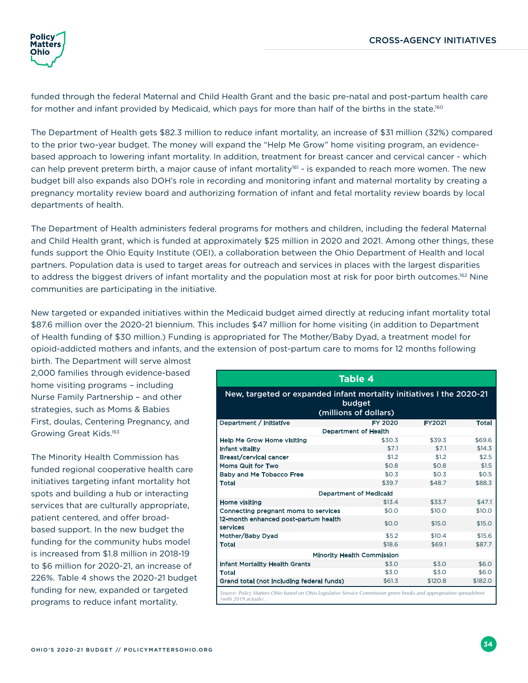<span id="page-37-0"></span>

funded through the federal Maternal and Child Health Grant and the basic pre-natal and post-partum health care for mother and infant provided by Medicaid, which pays for more than half of the births in the state.<sup>160</sup>

The Department of Health gets \$82.3 million to reduce infant mortality, an increase of \$31 million (32%) compared to the prior two-year budget. The money will expand the "Help Me Grow" home visiting program, an evidencebased approach to lowering infant mortality. In addition, treatment for breast cancer and cervical cancer - which can help prevent preterm birth, a major cause of infant mortality<sup>161</sup> - is expanded to reach more women. The new budget bill also expands also DOH's role in recording and monitoring infant and maternal mortality by creating a pregnancy mortality review board and authorizing formation of infant and fetal mortality review boards by local departments of health.

The Department of Health administers federal programs for mothers and children, including the federal Maternal and Child Health grant, which is funded at approximately \$25 million in 2020 and 2021. Among other things, these funds support the Ohio Equity Institute (OEI), a collaboration between the Ohio Department of Health and local partners. Population data is used to target areas for outreach and services in places with the largest disparities to address the biggest drivers of infant mortality and the population most at risk for poor birth outcomes.<sup>162</sup> Nine communities are participating in the initiative.

New targeted or expanded initiatives within the Medicaid budget aimed directly at reducing infant mortality total \$87.6 million over the 2020-21 biennium. This includes \$47 million for home visiting (in addition to Department of Health funding of \$30 million.) Funding is appropriated for The Mother/Baby Dyad, a treatment model for opioid-addicted mothers and infants, and the extension of post-partum care to moms for 12 months following

birth. The Department will serve almost 2,000 families through evidence-based home visiting programs – including Nurse Family Partnership – and other strategies, such as Moms & Babies First, doulas, Centering Pregnancy, and Growing Great Kids.163

The Minority Health Commission has funded regional cooperative health care initiatives targeting infant mortality hot spots and building a hub or interacting services that are culturally appropriate, patient centered, and offer broadbased support. In the new budget the funding for the community hubs model is increased from \$1.8 million in 2018-19 to \$6 million for 2020-21, an increase of 226%. Table 4 shows the 2020-21 budget funding for new, expanded or targeted programs to reduce infant mortality.

| <b>Table 4</b>                                                                                                                             |         |               |              |  |  |  |  |
|--------------------------------------------------------------------------------------------------------------------------------------------|---------|---------------|--------------|--|--|--|--|
| New, targeted or expanded infant mortality initiatives I the 2020-21<br>budget<br>(millions of dollars)                                    |         |               |              |  |  |  |  |
| Department / Initiative                                                                                                                    | FY 2020 | <b>FY2021</b> | <b>Total</b> |  |  |  |  |
| <b>Department of Health</b>                                                                                                                |         |               |              |  |  |  |  |
| <b>Help Me Grow Home visiting</b>                                                                                                          | \$30.3  | \$39.3        | \$69.6       |  |  |  |  |
| Infant vitality                                                                                                                            | \$7.1   | \$7.1         | \$14.3       |  |  |  |  |
| Breast/cervical cancer                                                                                                                     | \$1.2   | \$1.2         | \$2.5        |  |  |  |  |
| Moms Quit for Two                                                                                                                          | \$0.8   | \$0.8         | \$1.5        |  |  |  |  |
| <b>Baby and Me Tobacco Free</b>                                                                                                            | \$0.3   | \$0.3         | \$0.5        |  |  |  |  |
| <b>Total</b>                                                                                                                               | \$39.7  | \$48.7        | \$88.3       |  |  |  |  |
| <b>Department of Medicaid</b>                                                                                                              |         |               |              |  |  |  |  |
| Home visiting                                                                                                                              | \$13.4  | \$33.7        | \$47.1       |  |  |  |  |
| Connecting pregnant moms to services                                                                                                       | \$0.0   | \$10.0        | \$10.0       |  |  |  |  |
| 12-month enhanced post-partum health<br>services                                                                                           | \$0.0   | \$15.0        | \$15.0       |  |  |  |  |
| Mother/Baby Dyad                                                                                                                           | \$5.2   | \$10.4        | \$15.6       |  |  |  |  |
| <b>Total</b>                                                                                                                               | \$18.6  | \$69.1        | \$87.7       |  |  |  |  |
| <b>Minority Health Commission</b>                                                                                                          |         |               |              |  |  |  |  |
| <b>Infant Mortality Health Grants</b>                                                                                                      | \$3.0   | \$3.0         | \$6.0        |  |  |  |  |
| <b>Total</b>                                                                                                                               | \$3.0   | \$3.0         | \$6.0        |  |  |  |  |
| Grand total (not including federal funds)                                                                                                  | \$61.3  | \$120.8       | \$182.0      |  |  |  |  |
| Source: Policy Matters Ohio based on Ohio Legislative Service Commission green books and appropriation spreadsheet<br>(with 2019 actuals). |         |               |              |  |  |  |  |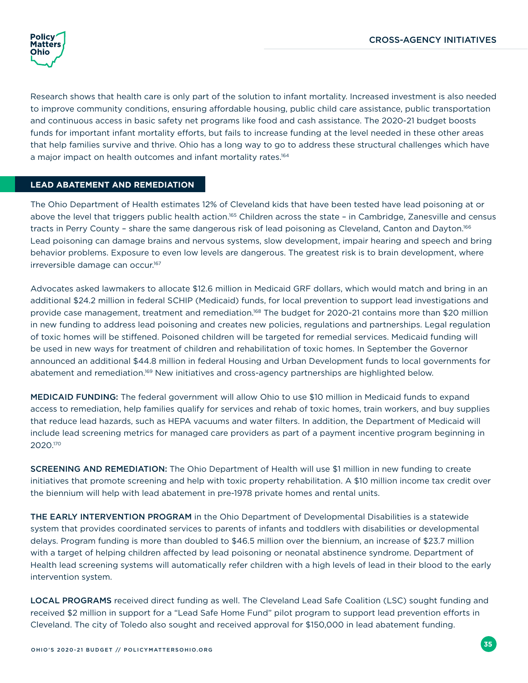

Research shows that health care is only part of the solution to infant mortality. Increased investment is also needed to improve community conditions, ensuring affordable housing, public child care assistance, public transportation and continuous access in basic safety net programs like food and cash assistance. The 2020-21 budget boosts funds for important infant mortality efforts, but fails to increase funding at the level needed in these other areas that help families survive and thrive. Ohio has a long way to go to address these structural challenges which have a major impact on health outcomes and infant mortality rates.<sup>164</sup>

#### **LEAD ABATEMENT AND REMEDIATION**

The Ohio Department of Health estimates 12% of Cleveland kids that have been tested have lead poisoning at or above the level that triggers public health action.<sup>165</sup> Children across the state - in Cambridge, Zanesville and census tracts in Perry County – share the same dangerous risk of lead poisoning as Cleveland, Canton and Dayton.166 Lead poisoning can damage brains and nervous systems, slow development, impair hearing and speech and bring behavior problems. Exposure to even low levels are dangerous. The greatest risk is to brain development, where irreversible damage can occur.167

Advocates asked lawmakers to allocate \$12.6 million in Medicaid GRF dollars, which would match and bring in an additional \$24.2 million in federal SCHIP (Medicaid) funds, for local prevention to support lead investigations and provide case management, treatment and remediation.168 The budget for 2020-21 contains more than \$20 million in new funding to address lead poisoning and creates new policies, regulations and partnerships. Legal regulation of toxic homes will be stiffened. Poisoned children will be targeted for remedial services. Medicaid funding will be used in new ways for treatment of children and rehabilitation of toxic homes. In September the Governor announced an additional \$44.8 million in federal Housing and Urban Development funds to local governments for abatement and remediation.169 New initiatives and cross-agency partnerships are highlighted below.

MEDICAID FUNDING: The federal government will allow Ohio to use \$10 million in Medicaid funds to expand access to remediation, help families qualify for services and rehab of toxic homes, train workers, and buy supplies that reduce lead hazards, such as HEPA vacuums and water filters. In addition, the Department of Medicaid will include lead screening metrics for managed care providers as part of a payment incentive program beginning in 2020.170

SCREENING AND REMEDIATION: The Ohio Department of Health will use \$1 million in new funding to create initiatives that promote screening and help with toxic property rehabilitation. A \$10 million income tax credit over the biennium will help with lead abatement in pre-1978 private homes and rental units.

THE EARLY INTERVENTION PROGRAM in the Ohio Department of Developmental Disabilities is a statewide system that provides coordinated services to parents of infants and toddlers with disabilities or developmental delays. Program funding is more than doubled to \$46.5 million over the biennium, an increase of \$23.7 million with a target of helping children affected by lead poisoning or neonatal abstinence syndrome. Department of Health lead screening systems will automatically refer children with a high levels of lead in their blood to the early intervention system.

LOCAL PROGRAMS received direct funding as well. The Cleveland Lead Safe Coalition (LSC) sought funding and received \$2 million in support for a "Lead Safe Home Fund" pilot program to support lead prevention efforts in Cleveland. The city of Toledo also sought and received approval for \$150,000 in lead abatement funding.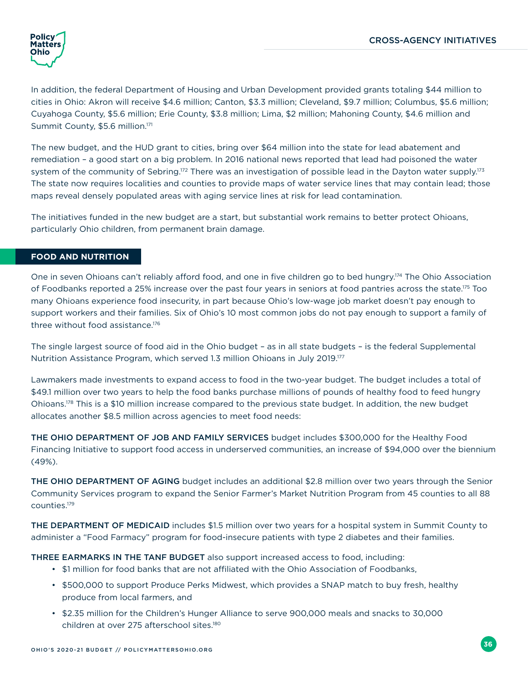

In addition, the federal Department of Housing and Urban Development provided grants totaling \$44 million to cities in Ohio: Akron will receive \$4.6 million; Canton, \$3.3 million; Cleveland, \$9.7 million; Columbus, \$5.6 million; Cuyahoga County, \$5.6 million; Erie County, \$3.8 million; Lima, \$2 million; Mahoning County, \$4.6 million and Summit County, \$5.6 million.171

The new budget, and the HUD grant to cities, bring over \$64 million into the state for lead abatement and remediation – a good start on a big problem. In 2016 national news reported that lead had poisoned the water system of the community of Sebring.<sup>172</sup> There was an investigation of possible lead in the Dayton water supply.<sup>173</sup> The state now requires localities and counties to provide maps of water service lines that may contain lead; those maps reveal densely populated areas with aging service lines at risk for lead contamination.

The initiatives funded in the new budget are a start, but substantial work remains to better protect Ohioans, particularly Ohio children, from permanent brain damage.

#### **FOOD AND NUTRITION**

One in seven Ohioans can't reliably afford food, and one in five children go to bed hungry.174 The Ohio Association of Foodbanks reported a 25% increase over the past four years in seniors at food pantries across the state.175 Too many Ohioans experience food insecurity, in part because Ohio's low-wage job market doesn't pay enough to support workers and their families. Six of Ohio's 10 most common jobs do not pay enough to support a family of three without food assistance.<sup>176</sup>

The single largest source of food aid in the Ohio budget – as in all state budgets – is the federal Supplemental Nutrition Assistance Program, which served 1.3 million Ohioans in July 2019.177

Lawmakers made investments to expand access to food in the two-year budget. The budget includes a total of \$49.1 million over two years to help the food banks purchase millions of pounds of healthy food to feed hungry Ohioans.178 This is a \$10 million increase compared to the previous state budget. In addition, the new budget allocates another \$8.5 million across agencies to meet food needs:

THE OHIO DEPARTMENT OF JOB AND FAMILY SERVICES budget includes \$300,000 for the Healthy Food Financing Initiative to support food access in underserved communities, an increase of \$94,000 over the biennium (49%).

THE OHIO DEPARTMENT OF AGING budget includes an additional \$2.8 million over two years through the Senior Community Services program to expand the Senior Farmer's Market Nutrition Program from 45 counties to all 88 counties.179

THE DEPARTMENT OF MEDICAID includes \$1.5 million over two years for a hospital system in Summit County to administer a "Food Farmacy" program for food-insecure patients with type 2 diabetes and their families.

THREE EARMARKS IN THE TANF BUDGET also support increased access to food, including:

- \$1 million for food banks that are not affiliated with the Ohio Association of Foodbanks,
- \$500,000 to support Produce Perks Midwest, which provides a SNAP match to buy fresh, healthy produce from local farmers, and
- \$2.35 million for the Children's Hunger Alliance to serve 900,000 meals and snacks to 30,000 children at over 275 afterschool sites.<sup>180</sup>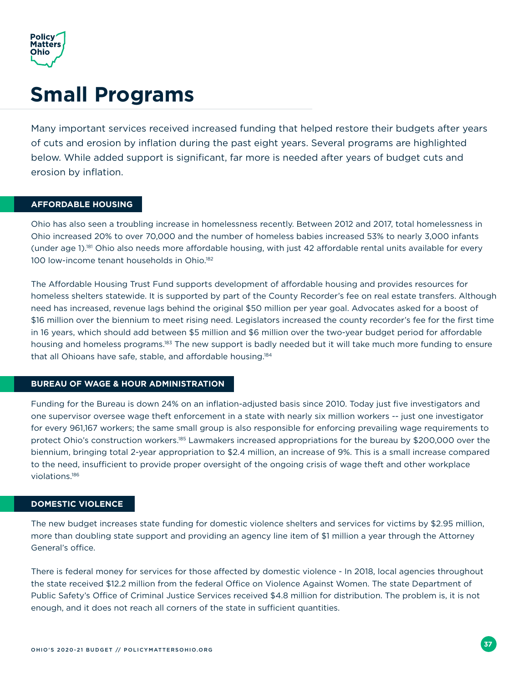<span id="page-40-0"></span>

### **Small Programs**

Many important services received increased funding that helped restore their budgets after years of cuts and erosion by inflation during the past eight years. Several programs are highlighted below. While added support is significant, far more is needed after years of budget cuts and erosion by inflation.

#### **AFFORDABLE HOUSING**

Ohio has also seen a troubling increase in homelessness recently. Between 2012 and 2017, total homelessness in Ohio increased 20% to over 70,000 and the number of homeless babies increased 53% to nearly 3,000 infants (under age 1).181 Ohio also needs more affordable housing, with just 42 affordable rental units available for every 100 low-income tenant households in Ohio.<sup>182</sup>

The Affordable Housing Trust Fund supports development of affordable housing and provides resources for homeless shelters statewide. It is supported by part of the County Recorder's fee on real estate transfers. Although need has increased, revenue lags behind the original \$50 million per year goal. Advocates asked for a boost of \$16 million over the biennium to meet rising need. Legislators increased the county recorder's fee for the first time in 16 years, which should add between \$5 million and \$6 million over the two-year budget period for affordable housing and homeless programs.183 The new support is badly needed but it will take much more funding to ensure that all Ohioans have safe, stable, and affordable housing.<sup>184</sup>

#### **BUREAU OF WAGE & HOUR ADMINISTRATION**

Funding for the Bureau is down 24% on an inflation-adjusted basis since 2010. Today just five investigators and one supervisor oversee wage theft enforcement in a state with nearly six million workers -- just one investigator for every 961,167 workers; the same small group is also responsible for enforcing prevailing wage requirements to protect Ohio's construction workers.<sup>185</sup> Lawmakers increased appropriations for the bureau by \$200,000 over the biennium, bringing total 2-year appropriation to \$2.4 million, an increase of 9%. This is a small increase compared to the need, insufficient to provide proper oversight of the ongoing crisis of wage theft and other workplace violations.186

#### **DOMESTIC VIOLENCE**

The new budget increases state funding for domestic violence shelters and services for victims by \$2.95 million, more than doubling state support and providing an agency line item of \$1 million a year through the Attorney General's office.

There is federal money for services for those affected by domestic violence - In 2018, local agencies throughout the state received \$12.2 million from the federal Office on Violence Against Women. The state Department of Public Safety's Office of Criminal Justice Services received \$4.8 million for distribution. The problem is, it is not enough, and it does not reach all corners of the state in sufficient quantities.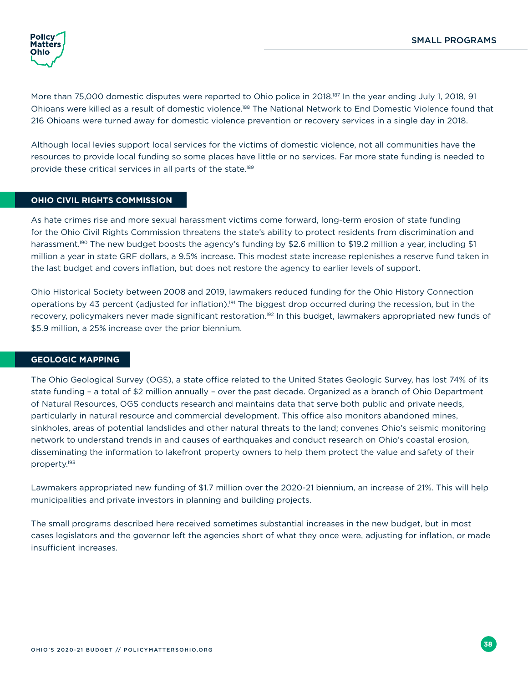

More than 75,000 domestic disputes were reported to Ohio police in 2018.<sup>187</sup> In the year ending July 1, 2018, 91 Ohioans were killed as a result of domestic violence.<sup>188</sup> The National Network to End Domestic Violence found that 216 Ohioans were turned away for domestic violence prevention or recovery services in a single day in 2018.

Although local levies support local services for the victims of domestic violence, not all communities have the resources to provide local funding so some places have little or no services. Far more state funding is needed to provide these critical services in all parts of the state.<sup>189</sup>

#### **OHIO CIVIL RIGHTS COMMISSION**

As hate crimes rise and more sexual harassment victims come forward, long-term erosion of state funding for the Ohio Civil Rights Commission threatens the state's ability to protect residents from discrimination and harassment.<sup>190</sup> The new budget boosts the agency's funding by \$2.6 million to \$19.2 million a year, including \$1 million a year in state GRF dollars, a 9.5% increase. This modest state increase replenishes a reserve fund taken in the last budget and covers inflation, but does not restore the agency to earlier levels of support.

Ohio Historical Society between 2008 and 2019, lawmakers reduced funding for the Ohio History Connection operations by 43 percent (adjusted for inflation).191 The biggest drop occurred during the recession, but in the recovery, policymakers never made significant restoration.<sup>192</sup> In this budget, lawmakers appropriated new funds of \$5.9 million, a 25% increase over the prior biennium.

#### **GEOLOGIC MAPPING**

The Ohio Geological Survey (OGS), a state office related to the United States Geologic Survey, has lost 74% of its state funding – a total of \$2 million annually – over the past decade. Organized as a branch of Ohio Department of Natural Resources, OGS conducts research and maintains data that serve both public and private needs, particularly in natural resource and commercial development. This office also monitors abandoned mines, sinkholes, areas of potential landslides and other natural threats to the land; convenes Ohio's seismic monitoring network to understand trends in and causes of earthquakes and conduct research on Ohio's coastal erosion, disseminating the information to lakefront property owners to help them protect the value and safety of their property.193

Lawmakers appropriated new funding of \$1.7 million over the 2020-21 biennium, an increase of 21%. This will help municipalities and private investors in planning and building projects.

The small programs described here received sometimes substantial increases in the new budget, but in most cases legislators and the governor left the agencies short of what they once were, adjusting for inflation, or made insufficient increases.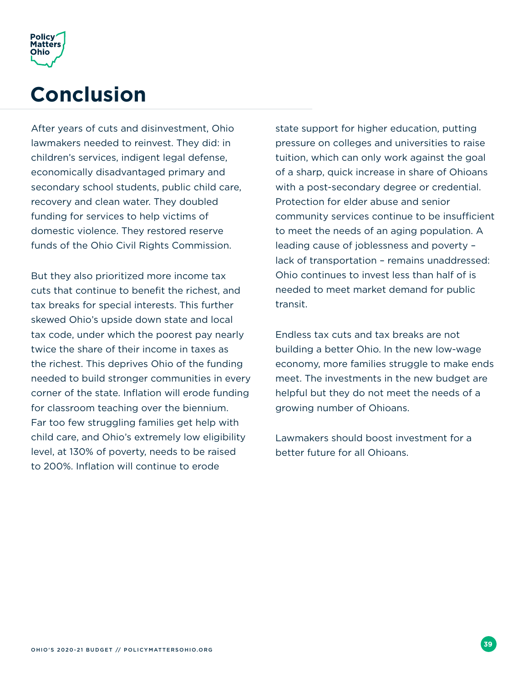<span id="page-42-0"></span>

### **Conclusion**

After years of cuts and disinvestment, Ohio lawmakers needed to reinvest. They did: in children's services, indigent legal defense, economically disadvantaged primary and secondary school students, public child care, recovery and clean water. They doubled funding for services to help victims of domestic violence. They restored reserve funds of the Ohio Civil Rights Commission.

But they also prioritized more income tax cuts that continue to benefit the richest, and tax breaks for special interests. This further skewed Ohio's upside down state and local tax code, under which the poorest pay nearly twice the share of their income in taxes as the richest. This deprives Ohio of the funding needed to build stronger communities in every corner of the state. Inflation will erode funding for classroom teaching over the biennium. Far too few struggling families get help with child care, and Ohio's extremely low eligibility level, at 130% of poverty, needs to be raised to 200%. Inflation will continue to erode

state support for higher education, putting pressure on colleges and universities to raise tuition, which can only work against the goal of a sharp, quick increase in share of Ohioans with a post-secondary degree or credential. Protection for elder abuse and senior community services continue to be insufficient to meet the needs of an aging population. A leading cause of joblessness and poverty – lack of transportation – remains unaddressed: Ohio continues to invest less than half of is needed to meet market demand for public transit.

Endless tax cuts and tax breaks are not building a better Ohio. In the new low-wage economy, more families struggle to make ends meet. The investments in the new budget are helpful but they do not meet the needs of a growing number of Ohioans.

Lawmakers should boost investment for a better future for all Ohioans.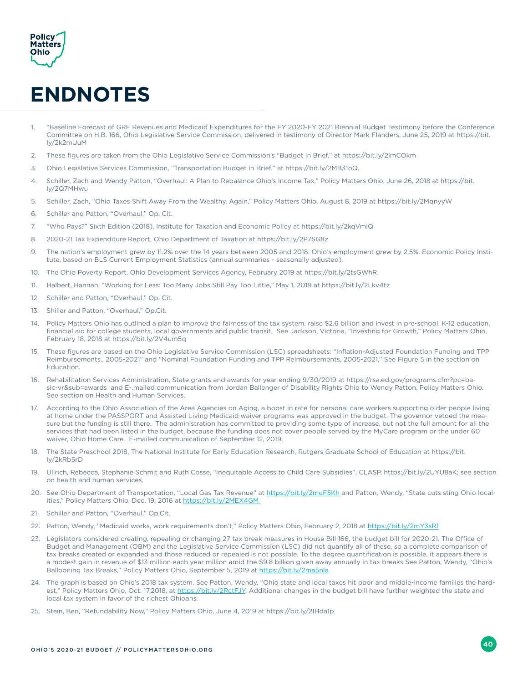<span id="page-43-0"></span>

## **ENDNOTES**

- 1. "Baseline Forecast of GRF Revenues and Medicaid Expenditures for the FY 2020-FY 2021 Biennial Budget Testimony before the Conference Committee on H.B. 166, Ohio Legislative Service Commission, delivered in testimony of Director Mark Flanders, June 25, 2019 at https://bit. ly/2k2mUuM
- 2. These figures are taken from the Ohio Legislative Service Commission's "Budget in Brief," at https://bit.ly/2lmCOkm
- 3. Ohio Legislative Services Commission, "Transportation Budget in Brief," at https://bit.ly/2MB31oQ.
- 4. Schiller, Zach and Wendy Patton, "Overhaul: A Plan to Rebalance Ohio's Income Tax," Policy Matters Ohio, June 26, 2018 at https://bit. ly/2Q7MHwu
- 5. Schiller, Zach, "Ohio Taxes Shift Away From the Wealthy, Again," Policy Matters Ohio, August 8, 2019 at https://bit.ly/2MqnyyW
- 6. Schiller and Patton, "Overhaul," Op. Cit.
- 7. "Who Pays?" Sixth Edition (2018), Institute for Taxation and Economic Policy at https://bit.ly/2kqVmiQ
- 8. 2020-21 Tax Expenditure Report, Ohio Department of Taxation at https://bit.ly/2P7SG8z
- 9. The nation's employment grew by 11.2% over the 14 years between 2005 and 2018. Ohio's employment grew by 2.5%. Economic Policy Institute, based on BLS Current Employment Statistics (annual summaries - seasonally adjusted).
- 10. The Ohio Poverty Report, Ohio Development Services Agency, February 2019 at https://bit.ly/2tsGWhR
- 11. Halbert, Hannah, "Working for Less: Too Many Jobs Still Pay Too Little," May 1, 2019 at https://bit.ly/2Lkv4tz
- 12. Schiller and Patton, "Overhaul," Op. Cit.
- 13. Shiller and Patton, "Overhaul," Op.Cit.
- 14. Policy Matters Ohio has outlined a plan to improve the fairness of the tax system, raise \$2.6 billion and invest in pre-school, K-12 education, financial aid for college students, local governments and public transit. See Jackson, Victoria, "Investing for Growth," Policy Matters Ohio, February 18, 2018 at https://bit.ly/2V4um5q
- 15. These figures are based on the Ohio Legislative Service Commission (LSC) spreadsheets: "Inflation-Adjusted Foundation Funding and TPP Reimbursements., 2005-2021" and "Nominal Foundation Funding and TPP Reimbursements, 2005-2021," See Figure 5 in the section on Education.
- 16. Rehabilitation Services Administration, State grants and awards for year ending 9/30/2019 at https://rsa.ed.gov/programs.cfm?pc=basic-vr&sub=awards and E-.mailed communication from Jordan Ballenger of Disability Rights Ohio to Wendy Patton, Policy Matters Ohio. See section on Health and Human Services.
- 17. According to the Ohio Association of the Area Agencies on Aging, a boost in rate for personal care workers supporting older people living at home under the PASSPORT and Assisted Living Medicaid waiver programs was approved in the budget. The governor vetoed the measure but the funding is still there. The administration has committed to providing some type of increase, but not the full amount for all the services that had been listed in the budget, because the funding does not cover people served by the MyCare program or the under 60 waiver, Ohio Home Care. E-mailed communication of September 12, 2019.
- 18. The State Preschool 2018, The National Institute for Early Education Research, Rutgers Graduate School of Education at https://bit. ly/2kRb5rD
- 19. Ullrich, Rebecca, Stephanie Schmit and Ruth Cosse, "Inequitable Access to Child Care Subsidies", CLASP, https://bit.ly/2UYU8aK; see section on health and human services.
- 20. See Ohio Department of Transportation, "Local Gas Tax Revenue" at https://bit.ly/2muF5Kh and Patton, Wendy, "State cuts sting Ohio localities," Policy Matters Ohio, Dec. 19, 2016 at https://bit.ly/2MEX4GM
- 21. Schiller and Patton, "Overhaul," Op.Cit.
- 22. Patton, Wendy, "Medicaid works, work requirements don't," Policy Matters Ohio, February 2, 2018 at https://bit.ly/2mY3sR1
- 23. Legislators considered creating, repealing or changing 27 tax break measures in House Bill 166, the budget bill for 2020-21. The Office of Budget and Management (OBM) and the Legislative Service Commission (LSC) did not quantify all of these, so a complete comparison of tax breaks created or expanded and those reduced or repealed is not possible. To the degree quantification is possible, it appears there is a modest gain in revenue of \$13 million each year million amid the \$9.8 billion given away annually in tax breaks See Patton, Wendy, "Ohio's Ballooning Tax Breaks," Policy Matters Ohio, September 5, 2019 at https://bit.ly/2ma5nla
- 24. The graph is based on Ohio's 2018 tax system. See Patton, Wendy, "Ohio state and local taxes hit poor and middle-income families the hardest," Policy Matters Ohio, Oct. 17,2018, at https://bit.ly/2RctFJY. Additional changes in the budget bill have further weighted the state and local tax system in favor of the richest Ohioans.
- 25. Stein, Ben, "Refundability Now," Policy Matters Ohio, June 4, 2019 at https://bit.ly/2IHda1p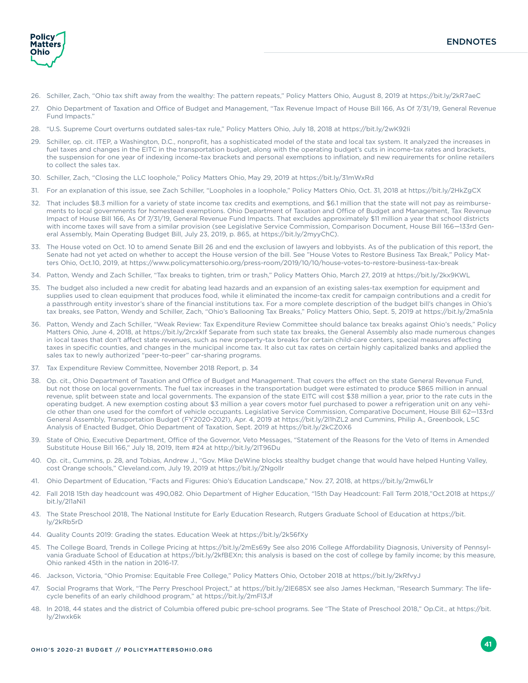

- 26. Schiller, Zach, "Ohio tax shift away from the wealthy: The pattern repeats," Policy Matters Ohio, August 8, 2019 at https://bit.ly/2kR7aeC
- 27. Ohio Department of Taxation and Office of Budget and Management, "Tax Revenue Impact of House Bill 166, As Of 7/31/19, General Revenue Fund Impacts."
- 28. "U.S. Supreme Court overturns outdated sales-tax rule," Policy Matters Ohio, July 18, 2018 at https://bit.ly/2wK92Ii
- 29. Schiller, op. cit. ITEP, a Washington, D.C., nonprofit, has a sophisticated model of the state and local tax system. It analyzed the increases in fuel taxes and changes in the EITC in the transportation budget, along with the operating budget's cuts in income-tax rates and brackets, the suspension for one year of indexing income-tax brackets and personal exemptions to inflation, and new requirements for online retailers to collect the sales tax.
- 30. Schiller, Zach, "Closing the LLC loophole," Policy Matters Ohio, May 29, 2019 at https://bit.ly/31mWxRd
- 31. For an explanation of this issue, see Zach Schiller, "Loopholes in a loophole," Policy Matters Ohio, Oct. 31, 2018 at https://bit.ly/2HkZgCX
- 32. That includes \$8.3 million for a variety of state income tax credits and exemptions, and \$6.1 million that the state will not pay as reimbursements to local governments for homestead exemptions. Ohio Department of Taxation and Office of Budget and Management, Tax Revenue Impact of House Bill 166, As Of 7/31/19, General Revenue Fund Impacts. That excludes approximately \$11 million a year that school districts with income taxes will save from a similar provision (see Legislative Service Commission, Comparison Document, House Bill 166—133rd General Assembly, Main Operating Budget Bill, July 23, 2019, p. 865, at https://bit.ly/2myyChC).
- 33. The House voted on Oct. 10 to amend Senate Bill 26 and end the exclusion of lawyers and lobbyists. As of the publication of this report, the Senate had not yet acted on whether to accept the House version of the bill. See "House Votes to Restore Business Tax Break," Policy Matters Ohio, Oct.10, 2019, at https://www.policymattersohio.org/press-room/2019/10/10/house-votes-to-restore-business-tax-break
- 34. Patton, Wendy and Zach Schiller, "Tax breaks to tighten, trim or trash," Policy Matters Ohio, March 27, 2019 at https://bit.ly/2kx9KWL
- 35. The budget also included a new credit for abating lead hazards and an expansion of an existing sales-tax exemption for equipment and supplies used to clean equipment that produces food, while it eliminated the income-tax credit for campaign contributions and a credit for a passthrough entity investor's share of the financial institutions tax. For a more complete description of the budget bill's changes in Ohio's tax breaks, see Patton, Wendy and Schiller, Zach, "Ohio's Ballooning Tax Breaks," Policy Matters Ohio, Sept. 5, 2019 at https://bit.ly/2ma5nla
- 36. Patton, Wendy and Zach Schiller, "Weak Review: Tax Expenditure Review Committee should balance tax breaks against Ohio's needs," Policy Matters Ohio, June 4, 2018, at https://bit.ly/2rcxkIf Separate from such state tax breaks, the General Assembly also made numerous changes in local taxes that don't affect state revenues, such as new property-tax breaks for certain child-care centers, special measures affecting taxes in specific counties, and changes in the municipal income tax. It also cut tax rates on certain highly capitalized banks and applied the sales tax to newly authorized "peer-to-peer" car-sharing programs.
- 37. Tax Expenditure Review Committee, November 2018 Report, p. 34
- 38. Op. cit., Ohio Department of Taxation and Office of Budget and Management. That covers the effect on the state General Revenue Fund, but not those on local governments. The fuel tax increases in the transportation budget were estimated to produce \$865 million in annual revenue, split between state and local governments. The expansion of the state EITC will cost \$38 million a year, prior to the rate cuts in the operating budget. A new exemption costing about \$3 million a year covers motor fuel purchased to power a refrigeration unit on any vehicle other than one used for the comfort of vehicle occupants. Legislative Service Commission, Comparative Document, House Bill 62—133rd General Assembly, Transportation Budget (FY2020-2021), Apr. 4, 2019 at https://bit.ly/2l1hZL2 and Cummins, Philip A., Greenbook, LSC Analysis of Enacted Budget, Ohio Department of Taxation, Sept. 2019 at https://bit.ly/2kCZ0X6
- 39. State of Ohio, Executive Department, Office of the Governor, Veto Messages, "Statement of the Reasons for the Veto of Items in Amended Substitute House Bill 166," July 18, 2019, Item #24 at http://bit.ly/2lT96Du
- 40. Op. cit., Cummins, p. 28, and Tobias, Andrew J., "Gov. Mike DeWine blocks stealthy budget change that would have helped Hunting Valley, cost Orange schools," Cleveland.com, July 19, 2019 at https://bit.ly/2Ngollr
- 41. Ohio Department of Education, "Facts and Figures: Ohio's Education Landscape," Nov. 27, 2018, at https://bit.ly/2mw6L1r
- 42. Fall 2018 15th day headcount was 490,082. Ohio Department of Higher Education, "15th Day Headcount: Fall Term 2018,"Oct.2018 at https:// bit.ly/2l1aNi1
- 43. The State Preschool 2018, The National Institute for Early Education Research, Rutgers Graduate School of Education at https://bit. ly/2kRb5rD
- 44. Quality Counts 2019: Grading the states. Education Week at https://bit.ly/2k56fXy
- 45. The College Board, Trends in College Pricing at https://bit.ly/2mEs69y See also 2016 College Affordability Diagnosis, University of Pennsylvania Graduate School of Education at https://bit.ly/2kfBEXn; this analysis is based on the cost of college by family income; by this measure, Ohio ranked 45th in the nation in 2016-17.
- 46. Jackson, Victoria, "Ohio Promise: Equitable Free College," Policy Matters Ohio, October 2018 at https://bit.ly/2kRfvyJ
- 47. Social Programs that Work, "The Perry Preschool Project," at https://bit.ly/2lE68SX see also James Heckman, "Research Summary: The lifecycle benefits of an early childhood program," at https://bit.ly/2mFl3Jf
- 48. In 2018, 44 states and the district of Columbia offered pubic pre-school programs. See "The State of Preschool 2018," Op.Cit., at https://bit. ly/2lwxk6k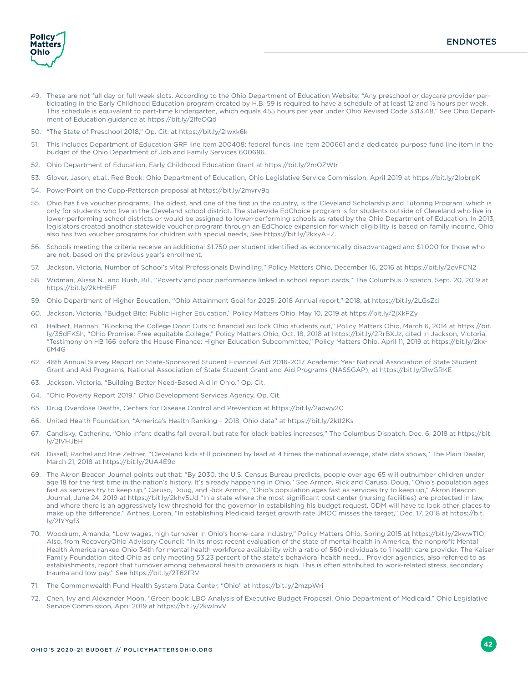

- 49. These are not full day or full week slots. According to the Ohio Department of Education Website: "Any preschool or daycare provider participating in the Early Childhood Education program created by H.B. 59 is required to have a schedule of at least 12 and ½ hours per week. This schedule is equivalent to part-time kindergarten, which equals 455 hours per year under Ohio Revised Code 3313.48." See Ohio Department of Education guidance at https://bit.ly/2lfeOQd
- 50. "The State of Preschool 2018," Op. Cit. at https://bit.ly/2lwxk6k
- 51. This includes Department of Education GRF line item 200408; federal funds line item 200661 and a dedicated purpose fund line item in the budget of the Ohio Department of Job and Family Services 600696.
- 52. Ohio Department of Education, Early Childhood Education Grant at https://bit.ly/2mOZWIr
- 53. Glover, Jason, et.al., Red Book: Ohio Department of Education, Ohio Legislative Service Commission, April 2019 at https://bit.ly/2lpbrpK
- 54. PowerPoint on the Cupp-Patterson proposal at https://bit.ly/2mvrv9q
- 55. Ohio has five voucher programs. The oldest, and one of the first in the country, is the Cleveland Scholarship and Tutoring Program, which is only for students who live in the Cleveland school district. The statewide EdChoice program is for students outside of Cleveland who live in lower-performing school districts or would be assigned to lower-performing schools as rated by the Ohio Department of Education. In 2013, legislators created another statewide voucher program through an EdChoice expansion for which eligibility is based on family income. Ohio also has two voucher programs for children with special needs, See https://bit.ly/2kxyAFZ.
- 56. Schools meeting the criteria receive an additional \$1,750 per student identified as economically disadvantaged and \$1,000 for those who are not, based on the previous year's enrollment.
- 57. Jackson, Victoria, Number of School's Vital Professionals Dwindling," Policy Matters Ohio, December 16, 2016 at https://bit.ly/2ovFCN2
- 58. Widman, Alissa N., and Bush, Bill, "Poverty and poor performance linked in school report cards," The Columbus Dispatch, Sept. 20, 2019 at https://bit.ly/2kHHEIF
- 59. Ohio Department of Higher Education, "Ohio Attainment Goal for 2025: 2018 Annual report," 2018, at https://bit.ly/2LGsZci
- 60. Jackson, Victoria, "Budget Bite: Public Higher Education," Policy Matters Ohio, May 10, 2019 at https://bit.ly/2jXkFZy
- 61. Halbert, Hannah, "Blocking the College Door: Cuts to financial aid lock Ohio students out," Policy Matters Ohio, March 6, 2014 at https://bit. ly/35dFKSh, "Ohio Promise: Free equitable College," Policy Matters Ohio, Oct. 18, 2018 at https://bit.ly/2RrBXJz, cited in Jackson, Victoria, "Testimony on HB 166 before the House Finance: Higher Education Subcommittee," Policy Matters Ohio, April 11, 2019 at https://bit.ly/2kx-6M4G
- 62. 48th Annual Survey Report on State-Sponsored Student Financial Aid 2016-2017 Academic Year National Association of State Student Grant and Aid Programs, National Association of State Student Grant and Aid Programs (NASSGAP), at https://bit.ly/2lwGRKE
- 63. Jackson, Victoria, "Building Better Need-Based Aid in Ohio." Op. Cit.
- 64. "Ohio Poverty Report 2019," Ohio Development Services Agency, Op. Cit.
- 65. Drug Overdose Deaths, Centers for Disease Control and Prevention at https://bit.ly/2aowy2C
- 66. United Health Foundation, "America's Health Ranking 2018, Ohio data" at https://bit.ly/2ktI2Ks
- 67. Candisky, Catherine, "Ohio infant deaths fall overall, but rate for black babies increases," The Columbus Dispatch, Dec. 6, 2018 at https://bit. ly/2lVHJbH
- 68. Dissell, Rachel and Brie Zeltner, "Cleveland kids still poisoned by lead at 4 times the national average, state data shows," The Plain Dealer, March 21, 2018 at https://bit.ly/2UA4E9d
- 69. The Akron Beacon Journal points out that: "By 2030, the U.S. Census Bureau predicts, people over age 65 will outnumber children under age 18 for the first time in the nation's history. It's already happening in Ohio." See Armon, Rick and Caruso, Doug, "Ohio's population ages fast as services try to keep up," Caruso, Doug, and Rick Armon, "Ohio's population ages fast as services try to keep up," Akron Beacon Journal, June 24, 2019 at https://bit.ly/2khv5Ud "In a state where the most significant cost center (nursing facilities) are protected in law, and where there is an aggressively low threshold for the governor in establishing his budget request, ODM will have to look other places to make up the difference." Anthes, Loren, "In establishing Medicaid target growth rate JMOC misses the target," Dec. 17, 2018 at https://bit. ly/2lYYgf3
- 70. Woodrum, Amanda, "Low wages, high turnover in Ohio's home-care industry," Policy Matters Ohio, Spring 2015 at https://bit.ly/2kwwTIO; Also, from RecoveryOhio Advisory Council: "In its most recent evaluation of the state of mental health in America, the nonprofit Mental Health America ranked Ohio 34th for mental health workforce availability with a ratio of 560 individuals to 1 health care provider. The Kaiser Family Foundation cited Ohio as only meeting 53.23 percent of the state's behavioral health need…. Provider agencies, also referred to as establishments, report that turnover among behavioral health providers is high. This is often attributed to work-related stress, secondary trauma and low pay." See https://bit.ly/2T62fRV
- 71. The Commonwealth Fund Health System Data Center, "Ohio" at https://bit.ly/2mzpWri
- 72. Chen, Ivy and Alexander Moon, "Green book: LBO Analysis of Executive Budget Proposal, Ohio Department of Medicaid," Ohio Legislative Service Commission, April 2019 at https://bit.ly/2kwInvV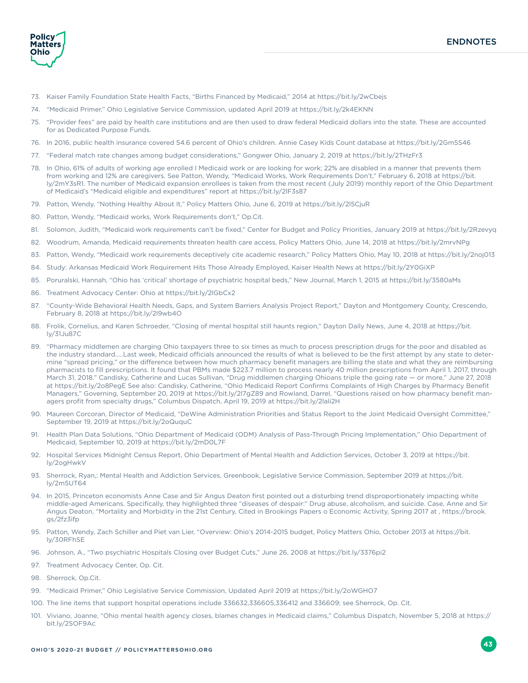**Policy Matters** Ohio

- 73. Kaiser Family Foundation State Health Facts, "Births Financed by Medicaid," 2014 at https://bit.ly/2wCbejs
- 74. "Medicaid Primer," Ohio Legislative Service Commission, updated April 2019 at https://bit.ly/2k4EKNN
- 75. "Provider fees" are paid by health care institutions and are then used to draw federal Medicaid dollars into the state. These are accounted for as Dedicated Purpose Funds.
- 76. In 2016, public health insurance covered 54.6 percent of Ohio's children. Annie Casey Kids Count database at https://bit.ly/2Gm5S46
- 77. "Federal match rate changes among budget considerations," Gongwer Ohio, January 2, 2019 at https://bit.ly/2THzFr3
- 78. In Ohio, 61% of adults of working age enrolled I Medicaid work or are looking for work; 22% are disabled in a manner that prevents them from working and 12% are caregivers. See Patton, Wendy, "Medicaid Works, Work Requirements Don't," February 6, 2018 at https://bit. ly/2mY3sR1. The number of Medicaid expansion enrollees is taken from the most recent (July 2019) monthly report of the Ohio Department of Medicaid's "Medicaid eligible and expenditures" report at https://bit.ly/2lF3s87
- 79. Patton, Wendy, "Nothing Healthy About It," Policy Matters Ohio, June 6, 2019 at https://bit.ly/2l5CjuR
- 80. Patton, Wendy, "Medicaid works, Work Requirements don't," Op.Cit.
- 81. Solomon, Judith, "Medicaid work requirements can't be fixed," Center for Budget and Policy Priorities, January 2019 at https://bit.ly/2Rzevyq
- 82. Woodrum, Amanda, Medicaid requirements threaten health care access, Policy Matters Ohio, June 14, 2018 at https://bit.ly/2mrvNPg
- 83. Patton, Wendy, "Medicaid work requirements deceptively cite academic research," Policy Matters Ohio, May 10, 2018 at https://bit.ly/2noj013
- 84. Study: Arkansas Medicaid Work Requirement Hits Those Already Employed, Kaiser Health News at https://bit.ly/2Y0GiXP
- 85. Poruralski, Hannah, "Ohio has 'critical' shortage of psychiatric hospital beds," New Journal, March 1, 2015 at https://bit.ly/3580aMs
- 86. Treatment Advocacy Center: Ohio at https://bit.ly/2lGbCx2
- 87. "County-Wide Behavioral Health Needs, Gaps, and System Barriers Analysis Project Report," Dayton and Montgomery County, Crescendo, February 8, 2018 at https://bit.ly/2l9wb4O
- 88. Frolik, Cornelius, and Karen Schroeder, "Closing of mental hospital still haunts region," Dayton Daily News, June 4, 2018 at https://bit. ly/31Ju87C
- 89. "Pharmacy middlemen are charging Ohio taxpayers three to six times as much to process prescription drugs for the poor and disabled as the industry standard…..Last week, Medicaid officials announced the results of what is believed to be the first attempt by any state to determine "spread pricing," or the difference between how much pharmacy benefit managers are billing the state and what they are reimbursing pharmacists to fill prescriptions. It found that PBMs made \$223.7 million to process nearly 40 million prescriptions from April 1, 2017, through March 31, 2018." Candisky, Catherine and Lucas Sullivan, "Drug middlemen charging Ohioans triple the going rate — or more," June 27, 2018 at https://bit.ly/2o8PegE See also: Candisky, Catherine, "Ohio Medicaid Report Confirms Complaints of High Charges by Pharmacy Benefit Managers," Governing, September 20, 2019 at https://bit.ly/2l7gZ89 and Rowland, Darrel, "Questions raised on how pharmacy benefit managers profit from specialty drugs," Columbus Dispatch, April 19, 2019 at https://bit.ly/2lali2H
- 90. Maureen Corcoran, Director of Medicaid, "DeWine Administration Priorities and Status Report to the Joint Medicaid Oversight Committee," September 19, 2019 at https://bit.ly/2oQuquC
- 91. Health Plan Data Solutions, "Ohio Department of Medicaid (ODM) Analysis of Pass-Through Pricing Implementation," Ohio Department of Medicaid, September 10, 2019 at https://bit.ly/2mD0L7F
- 92. Hospital Services Midnight Census Report, Ohio Department of Mental Health and Addiction Services, October 3, 2019 at https://bit. ly/2ogHwkV
- 93. Sherrock, Ryan,: Mental Health and Addiction Services, Greenbook, Legislative Service Commission, September 2019 at https://bit. ly/2m5UT64
- 94. In 2015, Princeton economists Anne Case and Sir Angus Deaton first pointed out a disturbing trend disproportionately impacting white middle-aged Americans. Specifically, they highlighted three "diseases of despair:" Drug abuse, alcoholism, and suicide. Case, Anne and Sir Angus Deaton, "Mortality and Morbidity in the 21st Century, Cited in Brookings Papers o Economic Activity, Spring 2017 at , https://brook. gs/2fz3ifp
- 95. Patton, Wendy, Zach Schiller and Piet van Lier, "Overview: Ohio's 2014-2015 budget, Policy Matters Ohio, October 2013 at https://bit. ly/30RFhSE
- 96. Johnson, A., "Two psychiatric Hospitals Closing over Budget Cuts," June 26, 2008 at https://bit.ly/3376pi2
- 97. Treatment Advocacy Center, Op. Cit.
- 98. Sherrock, Op.Cit.
- 99. "Medicaid Primer," Ohio Legislative Service Commission, Updated April 2019 at https://bit.ly/2oWGHO7
- 100. The line items that support hospital operations include 336632,336605,336412 and 336609; see Sherrock, Op. Cit.
- 101. Viviano, Joanne, "Ohio mental health agency closes, blames changes in Medicaid claims," Columbus Dispatch, November 5, 2018 at https:// bit.ly/2SOF9Ac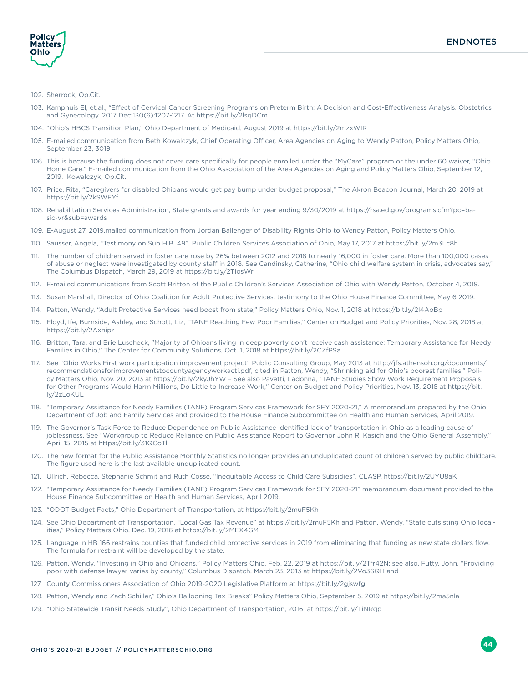

#### 102. Sherrock, Op.Cit.

- 103. Kamphuis EI, et.al., "Effect of Cervical Cancer Screening Programs on Preterm Birth: A Decision and Cost-Effectiveness Analysis. Obstetrics and Gynecology. 2017 Dec;130(6):1207-1217. At https://bit.ly/2lsqDCm
- 104. "Ohio's HBCS Transition Plan," Ohio Department of Medicaid, August 2019 at https://bit.ly/2mzxWIR
- 105. E-mailed communication from Beth Kowalczyk, Chief Operating Officer, Area Agencies on Aging to Wendy Patton, Policy Matters Ohio, September 23, 3019
- 106. This is because the funding does not cover care specifically for people enrolled under the "MyCare" program or the under 60 waiver, "Ohio Home Care." E-mailed communication from the Ohio Association of the Area Agencies on Aging and Policy Matters Ohio, September 12, 2019. Kowalczyk, Op.Cit.
- 107. Price, Rita, "Caregivers for disabled Ohioans would get pay bump under budget proposal," The Akron Beacon Journal, March 20, 2019 at https://bit.ly/2kSWFYf
- 108. Rehabilitation Services Administration, State grants and awards for year ending 9/30/2019 at https://rsa.ed.gov/programs.cfm?pc=basic-vr&sub=awards
- 109. E-August 27, 2019.mailed communication from Jordan Ballenger of Disability Rights Ohio to Wendy Patton, Policy Matters Ohio.
- 110. Sausser, Angela, "Testimony on Sub H.B. 49", Public Children Services Association of Ohio, May 17, 2017 at https://bit.ly/2m3Lc8h
- 111. The number of children served in foster care rose by 26% between 2012 and 2018 to nearly 16,000 in foster care. More than 100,000 cases of abuse or neglect were investigated by county staff in 2018. See Candinsky, Catherine, "Ohio child welfare system in crisis, advocates say," The Columbus Dispatch, March 29, 2019 at https://bit.ly/2TIosWr
- 112. E-mailed communications from Scott Britton of the Public Children's Services Association of Ohio with Wendy Patton, October 4, 2019.
- 113. Susan Marshall, Director of Ohio Coalition for Adult Protective Services, testimony to the Ohio House Finance Committee, May 6 2019.
- 114. Patton, Wendy, "Adult Protective Services need boost from state," Policy Matters Ohio, Nov. 1, 2018 at https://bit.ly/2I4AoBp
- 115. Floyd, Ife, Burnside, Ashley, and Schott, Liz, "TANF Reaching Few Poor Families," Center on Budget and Policy Priorities, Nov. 28, 2018 at https://bit.ly/2Axnipr
- 116. Britton, Tara, and Brie Luscheck, "Majority of Ohioans living in deep poverty don't receive cash assistance: Temporary Assistance for Needy Families in Ohio," The Center for Community Solutions, Oct. 1, 2018 at https://bit.ly/2CZfPSa
- 117. See "Ohio Works First work participation improvement project" Public Consulting Group, May 2013 at http://jfs.athensoh.org/documents/ recommendationsforimprovementstocountyagencyworkacti.pdf, cited in Patton, Wendy, "Shrinking aid for Ohio's poorest families," Policy Matters Ohio, Nov. 20, 2013 at https://bit.ly/2kyJhYW – See also Pavetti, Ladonna, "TANF Studies Show Work Requirement Proposals for Other Programs Would Harm Millions, Do Little to Increase Work," Center on Budget and Policy Priorities, Nov. 13, 2018 at https://bit. ly/2zLoKUL
- 118. "Temporary Assistance for Needy Families (TANF) Program Services Framework for SFY 2020-21," A memorandum prepared by the Ohio Department of Job and Family Services and provided to the House Finance Subcommittee on Health and Human Services, April 2019.
- 119. The Governor's Task Force to Reduce Dependence on Public Assistance identified lack of transportation in Ohio as a leading cause of joblessness, See "Workgroup to Reduce Reliance on Public Assistance Report to Governor John R. Kasich and the Ohio General Assembly," April 15, 2015 at https://bit.ly/31QCoTl.
- 120. The new format for the Public Assistance Monthly Statistics no longer provides an unduplicated count of children served by public childcare. The figure used here is the last available unduplicated count.
- 121. Ullrich, Rebecca, Stephanie Schmit and Ruth Cosse, "Inequitable Access to Child Care Subsidies", CLASP, https://bit.ly/2UYU8aK
- 122. "Temporary Assistance for Needy Families (TANF) Program Services Framework for SFY 2020-21" memorandum document provided to the House Finance Subcommittee on Health and Human Services, April 2019.
- 123. "ODOT Budget Facts," Ohio Department of Transportation, at https://bit.ly/2muF5Kh
- 124. See Ohio Department of Transportation, "Local Gas Tax Revenue" at https://bit.ly/2muF5Kh and Patton, Wendy, "State cuts sting Ohio localities," Policy Matters Ohio, Dec. 19, 2016 at https://bit.ly/2MEX4GM
- 125. Language in HB 166 restrains counties that funded child protective services in 2019 from eliminating that funding as new state dollars flow. The formula for restraint will be developed by the state.
- 126. Patton, Wendy, "Investing in Ohio and Ohioans," Policy Matters Ohio, Feb. 22, 2019 at https://bit.ly/2Tfr42N; see also, Futty, John, "Providing poor with defense lawyer varies by county," Columbus Dispatch, March 23, 2013 at https://bit.ly/2Vo36QH and
- 127. County Commissioners Association of Ohio 2019-2020 Legislative Platform at https://bit.ly/2gjswfg
- 128. Patton, Wendy and Zach Schiller," Ohio's Ballooning Tax Breaks" Policy Matters Ohio, September 5, 2019 at https://bit.ly/2ma5nla
- 129. "Ohio Statewide Transit Needs Study", Ohio Department of Transportation, 2016 at https://bit.ly/TiNRqp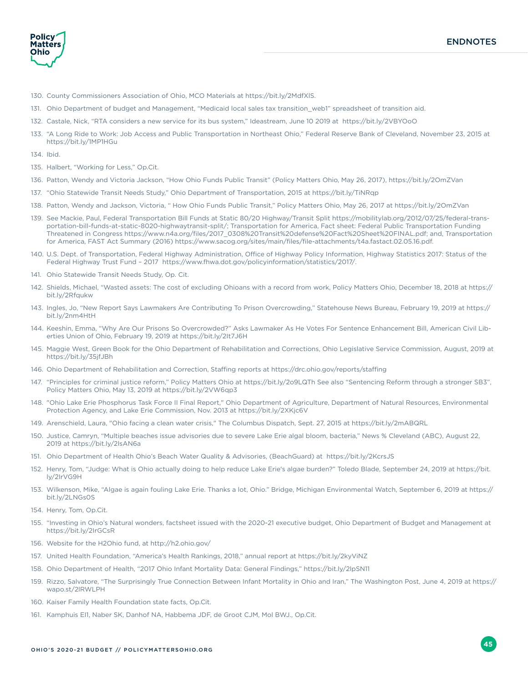

- 130. County Commissioners Association of Ohio, MCO Materials at https://bit.ly/2MdfXlS.
- 131. Ohio Department of budget and Management, "Medicaid local sales tax transition\_web1" spreadsheet of transition aid.
- 132. Castale, Nick, "RTA considers a new service for its bus system," Ideastream, June 10 2019 at https://bit.ly/2VBYOoO
- 133. "A Long Ride to Work: Job Access and Public Transportation in Northeast Ohio," Federal Reserve Bank of Cleveland, November 23, 2015 at https://bit.ly/1MP1HGu
- 134. Ibid.
- 135. Halbert, "Working for Less," Op.Cit.
- 136. Patton, Wendy and Victoria Jackson, "How Ohio Funds Public Transit" (Policy Matters Ohio, May 26, 2017), https://bit.ly/2OmZVan
- 137. "Ohio Statewide Transit Needs Study," Ohio Department of Transportation, 2015 at https://bit.ly/TiNRqp
- 138. Patton, Wendy and Jackson, Victoria, " How Ohio Funds Public Transit," Policy Matters Ohio, May 26, 2017 at https://bit.ly/2OmZVan
- 139. See Mackie, Paul, Federal Transportation Bill Funds at Static 80/20 Highway/Transit Split https://mobilitylab.org/2012/07/25/federal-transportation-bill-funds-at-static-8020-highwaytransit-split/; Transportation for America, Fact sheet: Federal Public Transportation Funding Threatened in Congress https://www.n4a.org/files/2017\_0308%20Transit%20defense%20Fact%20Sheet%20FINAL.pdf; and, Transportation for America, FAST Act Summary (2016) https://www.sacog.org/sites/main/files/file-attachments/t4a.fastact.02.05.16.pdf.
- 140. U.S. Dept. of Transportation, Federal Highway Administration, Office of Highway Policy Information, Highway Statistics 2017: Status of the Federal Highway Trust Fund – 2017 https://www.fhwa.dot.gov/policyinformation/statistics/2017/.
- 141. Ohio Statewide Transit Needs Study, Op. Cit.
- 142. Shields, Michael, "Wasted assets: The cost of excluding Ohioans with a record from work, Policy Matters Ohio, December 18, 2018 at https:// bit.ly/2Rfqukw
- 143. Ingles, Jo, "New Report Says Lawmakers Are Contributing To Prison Overcrowding," Statehouse News Bureau, February 19, 2019 at https:// bit.ly/2nm4HtH
- 144. Keeshin, Emma, "Why Are Our Prisons So Overcrowded?" Asks Lawmaker As He Votes For Sentence Enhancement Bill, American Civil Liberties Union of Ohio, February 19, 2019 at https://bit.ly/2It7J6H
- 145. Maggie West, Green Book for the Ohio Department of Rehabilitation and Corrections, Ohio Legislative Service Commission, August, 2019 at https://bit.ly/35jfJBh
- 146. Ohio Department of Rehabilitation and Correction, Staffing reports at https://drc.ohio.gov/reports/staffing
- 147. "Principles for criminal justice reform," Policy Matters Ohio at https://bit.ly/2o9LQTh See also "Sentencing Reform through a stronger SB3", Policy Matters Ohio, May 13, 2019 at https://bit.ly/2VW6qp3
- 148. "Ohio Lake Erie Phosphorus Task Force II Final Report," Ohio Department of Agriculture, Department of Natural Resources, Environmental Protection Agency, and Lake Erie Commission, Nov. 2013 at https://bit.ly/2XKjc6V
- 149. Arenschield, Laura, "Ohio facing a clean water crisis," The Columbus Dispatch, Sept. 27, 2015 at https://bit.ly/2mABQRL
- 150. Justice, Camryn, "Multiple beaches issue advisories due to severe Lake Erie algal bloom, bacteria," News % Cleveland (ABC), August 22, 2019 at https://bit.ly/2lsAN6a
- 151. Ohio Department of Health Ohio's Beach Water Quality & Advisories, (BeachGuard) at https://bit.ly/2KcrsJS
- 152. Henry, Tom, "Judge: What is Ohio actually doing to help reduce Lake Erie's algae burden?" Toledo Blade, September 24, 2019 at https://bit. ly/2IrVG9H
- 153. Wilkenson, Mike, "Algae is again fouling Lake Erie. Thanks a lot, Ohio." Bridge, Michigan Environmental Watch, September 6, 2019 at https:// bit.ly/2LNGs0S
- 154. Henry, Tom, Op.Cit.
- 155. "Investing in Ohio's Natural wonders, factsheet issued with the 2020-21 executive budget, Ohio Department of Budget and Management at https://bit.ly/2IrGCsR
- 156. Website for the H2Ohio fund, at http://h2.ohio.gov/
- 157. United Health Foundation, "America's Health Rankings, 2018," annual report at https://bit.ly/2kyViNZ
- 158. Ohio Department of Health, "2017 Ohio Infant Mortality Data: General Findings," https://bit.ly/2lpSN11
- 159. Rizzo, Salvatore, "The Surprisingly True Connection Between Infant Mortality in Ohio and Iran," The Washington Post, June 4, 2019 at https:// wapo.st/2lRWLPH
- 160. Kaiser Family Health Foundation state facts, Op.Cit.
- 161. Kamphuis EI1, Naber SK, Danhof NA, Habbema JDF, de Groot CJM, Mol BWJ., Op.Cit.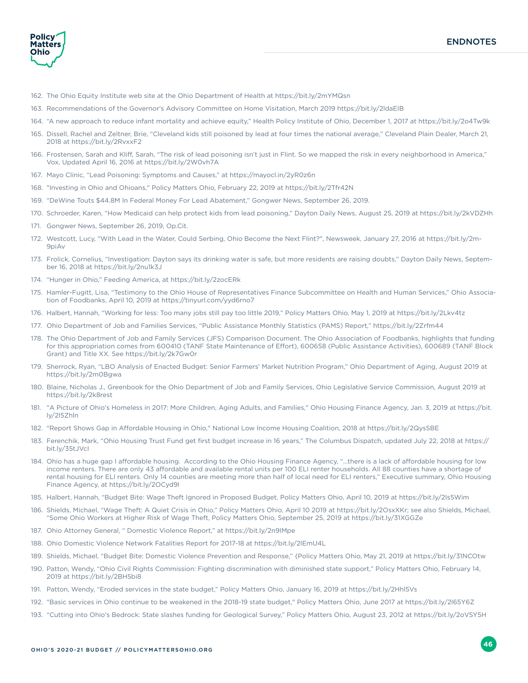**Policy Matters** Ohio

- 162. The Ohio Equity Institute web site at the Ohio Department of Health at https://bit.ly/2mYMQsn
- 163. Recommendations of the Governor's Advisory Committee on Home Visitation, March 2019 https://bit.ly/2ldaEIB
- 164. "A new approach to reduce infant mortality and achieve equity," Health Policy Institute of Ohio, December 1, 2017 at https://bit.ly/2o4Tw9k
- 165. Dissell, Rachel and Zeltner, Brie, "Cleveland kids still poisoned by lead at four times the national average," Cleveland Plain Dealer, March 21, 2018 at https://bit.ly/2RvxxF2
- 166. Frostensen, Sarah and Kliff, Sarah, "The risk of lead poisoning isn't just in Flint. So we mapped the risk in every neighborhood in America," Vox, Updated April 16, 2016 at https://bit.ly/2W0vh7A
- 167. Mayo Clinic, "Lead Poisoning: Symptoms and Causes," at https://mayocl.in/2yR0z6n
- 168. "Investing in Ohio and Ohioans," Policy Matters Ohio, February 22, 2019 at https://bit.ly/2Tfr42N
- 169. "DeWine Touts \$44.8M In Federal Money For Lead Abatement," Gongwer News, September 26, 2019.
- 170. Schroeder, Karen, "How Medicaid can help protect kids from lead poisoning," Dayton Daily News, August 25, 2019 at https://bit.ly/2kVDZHh
- 171. Gongwer News, September 26, 2019, Op.Cit.
- 172. Westcott, Lucy, "With Lead in the Water, Could Serbing, Ohio Become the Next Flint?", Newsweek, January 27, 2016 at https://bit.ly/2m-9piAv
- 173. Frolick, Cornelius, "Investigation: Dayton says its drinking water is safe, but more residents are raising doubts," Dayton Daily News, September 16, 2018 at https://bit.ly/2nu1k3J
- 174. "Hunger in Ohio," Feeding America, at https://bit.ly/2zocERk
- 175. Hamler-Fugitt, Lisa, "Testimony to the Ohio House of Representatives Finance Subcommittee on Health and Human Services," Ohio Association of Foodbanks, April 10, 2019 at https://tinyurl.com/yyd6rno7
- 176. Halbert, Hannah, "Working for less: Too many jobs still pay too little 2019," Policy Matters Ohio, May 1, 2019 at https://bit.ly/2Lkv4tz
- 177. Ohio Department of Job and Families Services, "Public Assistance Monthly Statistics (PAMS) Report," https://bit.ly/2Zrfm44
- 178. The Ohio Department of Job and Family Services (JFS) Comparison Document. The Ohio Association of Foodbanks, highlights that funding for this appropriation comes from 600410 (TANF State Maintenance of Effort), 600658 (Public Assistance Activities), 600689 (TANF Block Grant) and Title XX. See https://bit.ly/2k7Gw0r
- 179. Sherrock, Ryan, "LBO Analysis of Enacted Budget: Senior Farmers' Market Nutrition Program," Ohio Department of Aging, August 2019 at https://bit.ly/2m0Bgwa
- 180. Blaine, Nicholas J., Greenbook for the Ohio Department of Job and Family Services, Ohio Legislative Service Commission, August 2019 at https://bit.ly/2k8rest
- 181. "A Picture of Ohio's Homeless in 2017: More Children, Aging Adults, and Families," Ohio Housing Finance Agency, Jan. 3, 2019 at https://bit. ly/2l5Zhln
- 182. "Report Shows Gap in Affordable Housing in Ohio," National Low Income Housing Coalition, 2018 at https://bit.ly/2QysSBE
- 183. Ferenchik, Mark, "Ohio Housing Trust Fund get first budget increase in 16 years," The Columbus Dispatch, updated July 22, 2018 at https:// bit.ly/35tJVcI
- 184. Ohio has a huge gap I affordable housing. According to the Ohio Housing Finance Agency, "…there is a lack of affordable housing for low income renters. There are only 43 affordable and available rental units per 100 ELI renter households. All 88 counties have a shortage of rental housing for ELI renters. Only 14 counties are meeting more than half of local need for ELI renters," Executive summary, Ohio Housing Finance Agency, at https://bit.ly/2OCyd9I
- 185. Halbert, Hannah, "Budget Bite: Wage Theft Ignored in Proposed Budget, Policy Matters Ohio, April 10, 2019 at https://bit.ly/2Is5Wim
- 186. Shields, Michael, "Wage Theft: A Quiet Crisis in Ohio," Policy Matters Ohio, April 10 2019 at https://bit.ly/2OsxXKr; see also Shields, Michael, "Some Ohio Workers at Higher Risk of Wage Theft, Policy Matters Ohio, September 25, 2019 at https://bit.ly/31XGGZe
- 187. Ohio Attorney General, " Domestic Violence Report," at https://bit.ly/2n9IMpe
- 188. Ohio Domestic Violence Network Fatalities Report for 2017-18 at https://bit.ly/2lEmU4L
- 189. Shields, Michael, "Budget Bite: Domestic Violence Prevention and Response," {Policy Matters Ohio, May 21, 2019 at https://bit.ly/31NCOtw
- 190. Patton, Wendy, "Ohio Civil Rights Commission: Fighting discrimination with diminished state support," Policy Matters Ohio, February 14, 2019 at https://bit.ly/2BH5bi8
- 191. Patton, Wendy, "Eroded services in the state budget," Policy Matters Ohio, January 16, 2019 at https://bit.ly/2Hhl5Vs
- 192. "Basic services in Ohio continue to be weakened in the 2018-19 state budget," Policy Matters Ohio, June 2017 at https://bit.ly/2l65Y6Z
- 193. "Cutting into Ohio's Bedrock: State slashes funding for Geological Survey," Policy Matters Ohio, August 23, 2012 at https://bit.ly/2oVSY5H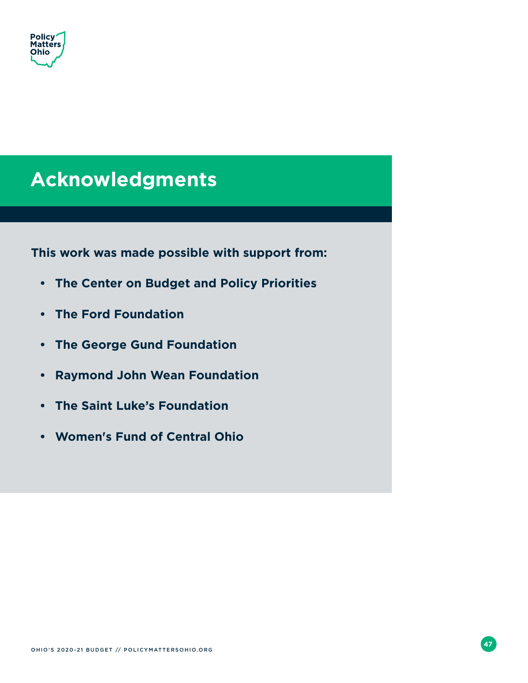<span id="page-50-0"></span>

### **Acknowledgments**

**This work was made possible with support from:**

- **• The Center on Budget and Policy Priorities**
- **• The Ford Foundation**
- **• The George Gund Foundation**
- **• Raymond John Wean Foundation**
- **• The Saint Luke's Foundation**
- **• Women's Fund of Central Ohio**